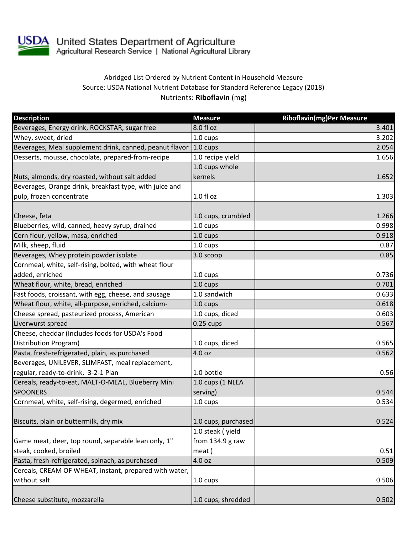

USDA United States Department of Agriculture<br>Agricultural Research Service | National Agricultural Library

## Abridged List Ordered by Nutrient Content in Household Measure Source: USDA National Nutrient Database for Standard Reference Legacy (2018) Nutrients: **Riboflavin** (mg)

| <b>Description</b>                                               | <b>Measure</b>      | <b>Riboflavin(mg)Per Measure</b> |
|------------------------------------------------------------------|---------------------|----------------------------------|
| Beverages, Energy drink, ROCKSTAR, sugar free                    | 8.0 fl oz           | 3.401                            |
| Whey, sweet, dried                                               | 1.0 cups            | 3.202                            |
| Beverages, Meal supplement drink, canned, peanut flavor 1.0 cups |                     | 2.054                            |
| Desserts, mousse, chocolate, prepared-from-recipe                | 1.0 recipe yield    | 1.656                            |
|                                                                  | 1.0 cups whole      |                                  |
| Nuts, almonds, dry roasted, without salt added                   | kernels             | 1.652                            |
| Beverages, Orange drink, breakfast type, with juice and          |                     |                                  |
| pulp, frozen concentrate                                         | 1.0 fl oz           | 1.303                            |
|                                                                  |                     |                                  |
| Cheese, feta                                                     | 1.0 cups, crumbled  | 1.266                            |
| Blueberries, wild, canned, heavy syrup, drained                  | 1.0 cups            | 0.998                            |
| Corn flour, yellow, masa, enriched                               | 1.0 cups            | 0.918                            |
| Milk, sheep, fluid                                               | 1.0 cups            | 0.87                             |
| Beverages, Whey protein powder isolate                           | 3.0 scoop           | 0.85                             |
| Cornmeal, white, self-rising, bolted, with wheat flour           |                     |                                  |
| added, enriched                                                  | 1.0 cups            | 0.736                            |
| Wheat flour, white, bread, enriched                              | $1.0 \text{ cups}$  | 0.701                            |
| Fast foods, croissant, with egg, cheese, and sausage             | 1.0 sandwich        | 0.633                            |
| Wheat flour, white, all-purpose, enriched, calcium-              | 1.0 cups            | 0.618                            |
| Cheese spread, pasteurized process, American                     | 1.0 cups, diced     | 0.603                            |
| Liverwurst spread                                                | $0.25$ cups         | 0.567                            |
| Cheese, cheddar (Includes foods for USDA's Food                  |                     |                                  |
| Distribution Program)                                            | 1.0 cups, diced     | 0.565                            |
| Pasta, fresh-refrigerated, plain, as purchased                   | 4.0 oz              | 0.562                            |
| Beverages, UNILEVER, SLIMFAST, meal replacement,                 |                     |                                  |
| regular, ready-to-drink, 3-2-1 Plan                              | 1.0 bottle          | 0.56                             |
| Cereals, ready-to-eat, MALT-O-MEAL, Blueberry Mini               | 1.0 cups (1 NLEA    |                                  |
| <b>SPOONERS</b>                                                  | serving)            | 0.544                            |
| Cornmeal, white, self-rising, degermed, enriched                 | 1.0 cups            | 0.534                            |
|                                                                  |                     |                                  |
| Biscuits, plain or buttermilk, dry mix                           | 1.0 cups, purchased | 0.524                            |
|                                                                  | 1.0 steak (yield    |                                  |
| Game meat, deer, top round, separable lean only, 1"              | from 134.9 g raw    |                                  |
| steak, cooked, broiled                                           | meat)               | 0.51                             |
| Pasta, fresh-refrigerated, spinach, as purchased                 | 4.0 oz              | 0.509                            |
| Cereals, CREAM OF WHEAT, instant, prepared with water,           |                     |                                  |
| without salt                                                     | $1.0 \text{ cups}$  | 0.506                            |
|                                                                  |                     |                                  |
| Cheese substitute, mozzarella                                    | 1.0 cups, shredded  | 0.502                            |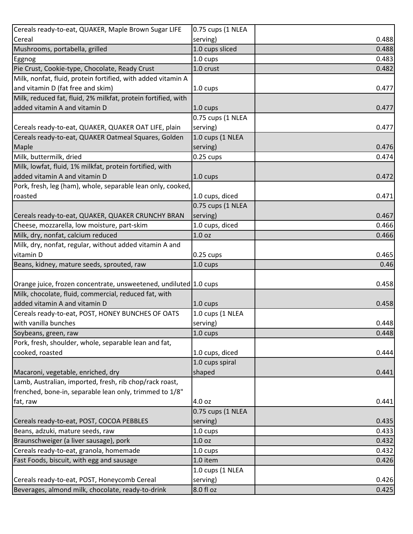| Cereals ready-to-eat, QUAKER, Maple Brown Sugar LIFE                                 | 0.75 cups (1 NLEA  |       |
|--------------------------------------------------------------------------------------|--------------------|-------|
| Cereal                                                                               | serving)           | 0.488 |
| Mushrooms, portabella, grilled                                                       | 1.0 cups sliced    | 0.488 |
| Eggnog                                                                               | 1.0 cups           | 0.483 |
| Pie Crust, Cookie-type, Chocolate, Ready Crust                                       | 1.0 crust          | 0.482 |
| Milk, nonfat, fluid, protein fortified, with added vitamin A                         |                    |       |
| and vitamin D (fat free and skim)                                                    | 1.0 cups           | 0.477 |
| Milk, reduced fat, fluid, 2% milkfat, protein fortified, with                        |                    |       |
| added vitamin A and vitamin D                                                        | 1.0 cups           | 0.477 |
|                                                                                      | 0.75 cups (1 NLEA  |       |
| Cereals ready-to-eat, QUAKER, QUAKER OAT LIFE, plain                                 | serving)           | 0.477 |
| Cereals ready-to-eat, QUAKER Oatmeal Squares, Golden                                 | 1.0 cups (1 NLEA   |       |
| Maple                                                                                | serving)           | 0.476 |
| Milk, buttermilk, dried                                                              | $0.25$ cups        | 0.474 |
| Milk, lowfat, fluid, 1% milkfat, protein fortified, with                             |                    |       |
| added vitamin A and vitamin D                                                        | 1.0 cups           | 0.472 |
| Pork, fresh, leg (ham), whole, separable lean only, cooked,                          |                    |       |
| roasted                                                                              | 1.0 cups, diced    | 0.471 |
|                                                                                      | 0.75 cups (1 NLEA  |       |
| Cereals ready-to-eat, QUAKER, QUAKER CRUNCHY BRAN                                    | serving)           | 0.467 |
| Cheese, mozzarella, low moisture, part-skim                                          | 1.0 cups, diced    | 0.466 |
| Milk, dry, nonfat, calcium reduced                                                   | 1.0 <sub>oz</sub>  | 0.466 |
| Milk, dry, nonfat, regular, without added vitamin A and                              |                    |       |
| vitamin D                                                                            | $0.25$ cups        | 0.465 |
|                                                                                      |                    |       |
| Beans, kidney, mature seeds, sprouted, raw                                           | 1.0 cups           | 0.46  |
|                                                                                      |                    |       |
| Orange juice, frozen concentrate, unsweetened, undiluted 1.0 cups                    |                    | 0.458 |
| Milk, chocolate, fluid, commercial, reduced fat, with                                |                    |       |
| added vitamin A and vitamin D                                                        | $1.0 \text{ cups}$ | 0.458 |
| Cereals ready-to-eat, POST, HONEY BUNCHES OF OATS                                    | 1.0 cups (1 NLEA   |       |
| with vanilla bunches                                                                 | serving)           | 0.448 |
| Soybeans, green, raw                                                                 | 1.0 cups           | 0.448 |
| Pork, fresh, shoulder, whole, separable lean and fat,                                |                    |       |
| cooked, roasted                                                                      | 1.0 cups, diced    | 0.444 |
|                                                                                      | 1.0 cups spiral    |       |
| Macaroni, vegetable, enriched, dry                                                   | shaped             | 0.441 |
| Lamb, Australian, imported, fresh, rib chop/rack roast,                              |                    |       |
| frenched, bone-in, separable lean only, trimmed to 1/8"                              |                    |       |
| fat, raw                                                                             | 4.0 oz             | 0.441 |
|                                                                                      | 0.75 cups (1 NLEA  |       |
|                                                                                      | serving)           | 0.435 |
| Cereals ready-to-eat, POST, COCOA PEBBLES<br>Beans, adzuki, mature seeds, raw        | 1.0 cups           | 0.433 |
| Braunschweiger (a liver sausage), pork                                               | 1.0 oz             | 0.432 |
|                                                                                      | $1.0 \text{ cups}$ | 0.432 |
| Cereals ready-to-eat, granola, homemade<br>Fast Foods, biscuit, with egg and sausage | 1.0 item           | 0.426 |
|                                                                                      | 1.0 cups (1 NLEA   |       |
| Cereals ready-to-eat, POST, Honeycomb Cereal                                         | serving)           | 0.426 |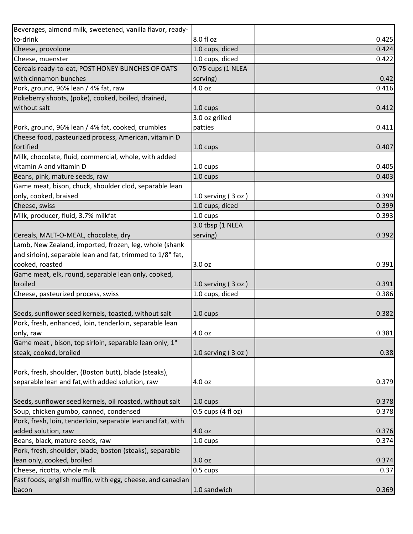| Beverages, almond milk, sweetened, vanilla flavor, ready-   |                      |       |
|-------------------------------------------------------------|----------------------|-------|
| to-drink                                                    | 8.0 fl oz            | 0.425 |
| Cheese, provolone                                           | 1.0 cups, diced      | 0.424 |
| Cheese, muenster                                            | 1.0 cups, diced      | 0.422 |
| Cereals ready-to-eat, POST HONEY BUNCHES OF OATS            | 0.75 cups (1 NLEA    |       |
| with cinnamon bunches                                       | serving)             | 0.42  |
| Pork, ground, 96% lean / 4% fat, raw                        | 4.0 oz               | 0.416 |
| Pokeberry shoots, (poke), cooked, boiled, drained,          |                      |       |
| without salt                                                | 1.0 cups             | 0.412 |
|                                                             | 3.0 oz grilled       |       |
| Pork, ground, 96% lean / 4% fat, cooked, crumbles           | patties              | 0.411 |
| Cheese food, pasteurized process, American, vitamin D       |                      |       |
| fortified                                                   | 1.0 cups             | 0.407 |
| Milk, chocolate, fluid, commercial, whole, with added       |                      |       |
| vitamin A and vitamin D                                     | 1.0 cups             | 0.405 |
| Beans, pink, mature seeds, raw                              | 1.0 cups             | 0.403 |
| Game meat, bison, chuck, shoulder clod, separable lean      |                      |       |
| only, cooked, braised                                       | 1.0 serving $(3 oz)$ | 0.399 |
| Cheese, swiss                                               | 1.0 cups, diced      | 0.399 |
| Milk, producer, fluid, 3.7% milkfat                         | 1.0 cups             | 0.393 |
|                                                             | 3.0 tbsp (1 NLEA     |       |
| Cereals, MALT-O-MEAL, chocolate, dry                        | serving)             | 0.392 |
| Lamb, New Zealand, imported, frozen, leg, whole (shank      |                      |       |
| and sirloin), separable lean and fat, trimmed to 1/8" fat,  |                      |       |
| cooked, roasted                                             | 3.0 oz               | 0.391 |
| Game meat, elk, round, separable lean only, cooked,         |                      |       |
| broiled                                                     | 1.0 serving $(3 oz)$ | 0.391 |
| Cheese, pasteurized process, swiss                          | 1.0 cups, diced      | 0.386 |
|                                                             |                      |       |
| Seeds, sunflower seed kernels, toasted, without salt        | 1.0 cups             | 0.382 |
| Pork, fresh, enhanced, loin, tenderloin, separable lean     |                      |       |
| only, raw                                                   | 4.0 oz               | 0.381 |
| Game meat, bison, top sirloin, separable lean only, 1"      |                      |       |
| steak, cooked, broiled                                      | 1.0 serving $(3 oz)$ | 0.38  |
|                                                             |                      |       |
| Pork, fresh, shoulder, (Boston butt), blade (steaks),       |                      |       |
| separable lean and fat, with added solution, raw            | 4.0 oz               | 0.379 |
|                                                             |                      |       |
| Seeds, sunflower seed kernels, oil roasted, without salt    | $1.0 \text{ cups}$   | 0.378 |
| Soup, chicken gumbo, canned, condensed                      | 0.5 cups (4 fl oz)   | 0.378 |
| Pork, fresh, loin, tenderloin, separable lean and fat, with |                      |       |
| added solution, raw                                         | 4.0 oz               | 0.376 |
| Beans, black, mature seeds, raw                             | 1.0 cups             | 0.374 |
| Pork, fresh, shoulder, blade, boston (steaks), separable    |                      |       |
| lean only, cooked, broiled                                  | 3.0 oz               | 0.374 |
| Cheese, ricotta, whole milk                                 | $0.5 \text{ cups}$   | 0.37  |
| Fast foods, english muffin, with egg, cheese, and canadian  |                      |       |
| bacon                                                       | 1.0 sandwich         | 0.369 |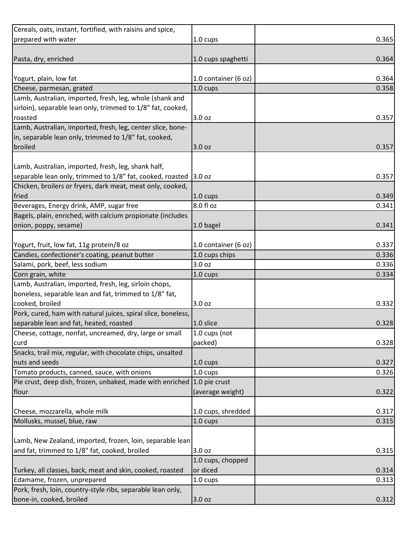| Cereals, oats, instant, fortified, with raisins and spice,              |                      |       |
|-------------------------------------------------------------------------|----------------------|-------|
| prepared with water                                                     | 1.0 cups             | 0.365 |
|                                                                         |                      |       |
| Pasta, dry, enriched                                                    | 1.0 cups spaghetti   | 0.364 |
|                                                                         |                      |       |
| Yogurt, plain, low fat                                                  | 1.0 container (6 oz) | 0.364 |
| Cheese, parmesan, grated                                                | 1.0 cups             | 0.358 |
| Lamb, Australian, imported, fresh, leg, whole (shank and                |                      |       |
| sirloin), separable lean only, trimmed to 1/8" fat, cooked,             |                      |       |
| roasted                                                                 | 3.0 oz               | 0.357 |
| Lamb, Australian, imported, fresh, leg, center slice, bone-             |                      |       |
| in, separable lean only, trimmed to 1/8" fat, cooked,                   |                      |       |
| broiled                                                                 | 3.0 oz               | 0.357 |
|                                                                         |                      |       |
| Lamb, Australian, imported, fresh, leg, shank half,                     |                      |       |
| separable lean only, trimmed to 1/8" fat, cooked, roasted 3.0 oz        |                      | 0.357 |
| Chicken, broilers or fryers, dark meat, meat only, cooked,              |                      |       |
| fried                                                                   | 1.0 cups             | 0.349 |
| Beverages, Energy drink, AMP, sugar free                                | 8.0 fl oz            | 0.341 |
| Bagels, plain, enriched, with calcium propionate (includes              |                      |       |
| onion, poppy, sesame)                                                   | 1.0 bagel            | 0.341 |
|                                                                         |                      |       |
| Yogurt, fruit, low fat, 11g protein/8 oz                                | 1.0 container (6 oz) | 0.337 |
| Candies, confectioner's coating, peanut butter                          | 1.0 cups chips       | 0.336 |
| Salami, pork, beef, less sodium                                         | 3.0 oz               | 0.336 |
| Corn grain, white                                                       | 1.0 cups             | 0.334 |
| Lamb, Australian, imported, fresh, leg, sirloin chops,                  |                      |       |
| boneless, separable lean and fat, trimmed to 1/8" fat,                  |                      |       |
| cooked, broiled                                                         | 3.0 oz               | 0.332 |
| Pork, cured, ham with natural juices, spiral slice, boneless,           |                      |       |
| separable lean and fat, heated, roasted                                 | 1.0 slice            | 0.328 |
| Cheese, cottage, nonfat, uncreamed, dry, large or small                 | 1.0 cups (not        |       |
| curd                                                                    | packed)              | 0.328 |
| Snacks, trail mix, regular, with chocolate chips, unsalted              |                      |       |
| nuts and seeds                                                          | 1.0 cups             | 0.327 |
| Tomato products, canned, sauce, with onions                             | 1.0 cups             | 0.326 |
| Pie crust, deep dish, frozen, unbaked, made with enriched 1.0 pie crust |                      |       |
| flour                                                                   | (average weight)     | 0.322 |
|                                                                         |                      |       |
| Cheese, mozzarella, whole milk                                          | 1.0 cups, shredded   | 0.317 |
| Mollusks, mussel, blue, raw                                             | 1.0 cups             | 0.315 |
|                                                                         |                      |       |
| Lamb, New Zealand, imported, frozen, loin, separable lean               |                      |       |
| and fat, trimmed to 1/8" fat, cooked, broiled                           | 3.0 oz               | 0.315 |
|                                                                         | 1.0 cups, chopped    |       |
| Turkey, all classes, back, meat and skin, cooked, roasted               | or diced             | 0.314 |
| Edamame, frozen, unprepared                                             | 1.0 cups             | 0.313 |
| Pork, fresh, loin, country-style ribs, separable lean only,             |                      |       |
| bone-in, cooked, broiled                                                | 3.0 oz               | 0.312 |
|                                                                         |                      |       |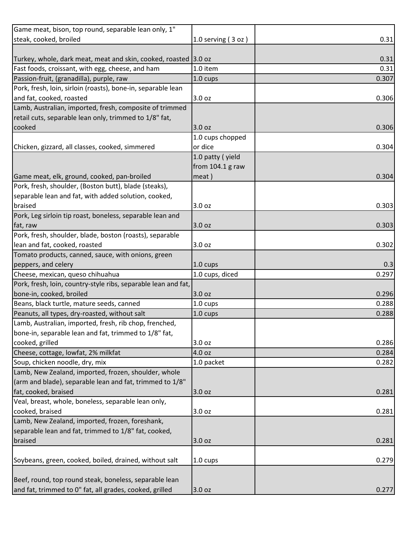| Game meat, bison, top round, separable lean only, 1"            |                      |       |
|-----------------------------------------------------------------|----------------------|-------|
| steak, cooked, broiled                                          | 1.0 serving $(3 oz)$ | 0.31  |
|                                                                 |                      |       |
| Turkey, whole, dark meat, meat and skin, cooked, roasted 3.0 oz |                      | 0.31  |
| Fast foods, croissant, with egg, cheese, and ham                | 1.0 item             | 0.31  |
| Passion-fruit, (granadilla), purple, raw                        | 1.0 cups             | 0.307 |
| Pork, fresh, loin, sirloin (roasts), bone-in, separable lean    |                      |       |
| and fat, cooked, roasted                                        | 3.0 oz               | 0.306 |
| Lamb, Australian, imported, fresh, composite of trimmed         |                      |       |
| retail cuts, separable lean only, trimmed to 1/8" fat,          |                      |       |
| cooked                                                          | 3.0 oz               | 0.306 |
|                                                                 | 1.0 cups chopped     |       |
| Chicken, gizzard, all classes, cooked, simmered                 | or dice              | 0.304 |
|                                                                 | 1.0 patty (yield     |       |
|                                                                 | from $104.1$ g raw   |       |
| Game meat, elk, ground, cooked, pan-broiled                     | meat)                | 0.304 |
| Pork, fresh, shoulder, (Boston butt), blade (steaks),           |                      |       |
| separable lean and fat, with added solution, cooked,            |                      |       |
| braised                                                         | 3.0 oz               | 0.303 |
| Pork, Leg sirloin tip roast, boneless, separable lean and       |                      |       |
| fat, raw                                                        | 3.0 oz               | 0.303 |
| Pork, fresh, shoulder, blade, boston (roasts), separable        |                      |       |
| lean and fat, cooked, roasted                                   | 3.0 oz               | 0.302 |
| Tomato products, canned, sauce, with onions, green              |                      |       |
| peppers, and celery                                             | 1.0 cups             | 0.3   |
| Cheese, mexican, queso chihuahua                                | 1.0 cups, diced      | 0.297 |
| Pork, fresh, loin, country-style ribs, separable lean and fat,  |                      |       |
| bone-in, cooked, broiled                                        | 3.0 oz               | 0.296 |
| Beans, black turtle, mature seeds, canned                       | 1.0 cups             | 0.288 |
| Peanuts, all types, dry-roasted, without salt                   | 1.0 cups             | 0.288 |
| Lamb, Australian, imported, fresh, rib chop, frenched,          |                      |       |
| bone-in, separable lean and fat, trimmed to 1/8" fat,           |                      |       |
| cooked, grilled                                                 | 3.0 oz               | 0.286 |
| Cheese, cottage, lowfat, 2% milkfat                             | 4.0 oz               | 0.284 |
| Soup, chicken noodle, dry, mix                                  | 1.0 packet           | 0.282 |
| Lamb, New Zealand, imported, frozen, shoulder, whole            |                      |       |
| (arm and blade), separable lean and fat, trimmed to 1/8"        |                      |       |
| fat, cooked, braised                                            | 3.0 oz               | 0.281 |
| Veal, breast, whole, boneless, separable lean only,             |                      |       |
| cooked, braised                                                 | 3.0 oz               | 0.281 |
| Lamb, New Zealand, imported, frozen, foreshank,                 |                      |       |
| separable lean and fat, trimmed to 1/8" fat, cooked,            |                      |       |
| braised                                                         | 3.0 oz               | 0.281 |
|                                                                 |                      |       |
| Soybeans, green, cooked, boiled, drained, without salt          | 1.0 cups             | 0.279 |
|                                                                 |                      |       |
| Beef, round, top round steak, boneless, separable lean          |                      |       |
| and fat, trimmed to 0" fat, all grades, cooked, grilled         | 3.0 oz               | 0.277 |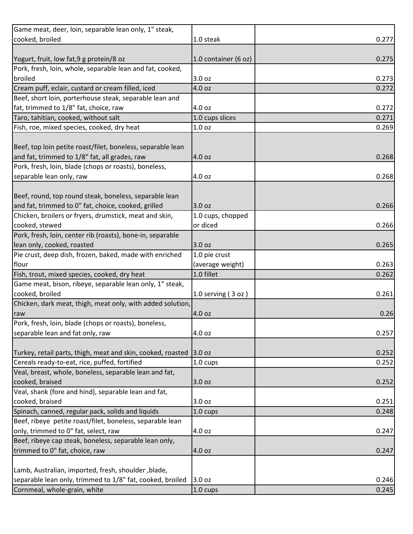| 1.0 steak<br>1.0 container (6 oz)<br>Pork, fresh, loin, whole, separable lean and fat, cooked,<br>3.0 oz<br>Cream puff, eclair, custard or cream filled, iced<br>4.0 oz<br>Beef, short loin, porterhouse steak, separable lean and<br>fat, trimmed to 1/8" fat, choice, raw<br>4.0 oz<br>Taro, tahitian, cooked, without salt<br>1.0 cups slices<br>0.271<br>Fish, roe, mixed species, cooked, dry heat<br>1.0 oz<br>Beef, top loin petite roast/filet, boneless, separable lean<br>and fat, trimmed to 1/8" fat, all grades, raw<br>4.0 oz<br>Pork, fresh, loin, blade (chops or roasts), boneless,<br>separable lean only, raw<br>4.0 oz<br>Beef, round, top round steak, boneless, separable lean<br>and fat, trimmed to 0" fat, choice, cooked, grilled<br>3.0 oz<br>Chicken, broilers or fryers, drumstick, meat and skin,<br>1.0 cups, chopped<br>cooked, stewed<br>or diced<br>Pork, fresh, loin, center rib (roasts), bone-in, separable<br>lean only, cooked, roasted<br>3.0 oz<br>Pie crust, deep dish, frozen, baked, made with enriched<br>1.0 pie crust<br>(average weight)<br>flour<br>Fish, trout, mixed species, cooked, dry heat<br>1.0 fillet<br>0.262<br>Game meat, bison, ribeye, separable lean only, 1" steak,<br>cooked, broiled<br>0.261<br>1.0 serving $(3 oz)$<br>Chicken, dark meat, thigh, meat only, with added solution,<br>4.0 oz<br>4.0 oz<br>Turkey, retail parts, thigh, meat and skin, cooked, roasted 3.0 oz<br>1.0 cups<br>3.0 oz<br>3.0 oz<br>1.0 cups<br>Beef, ribeye petite roast/filet, boneless, separable lean<br>only, trimmed to 0" fat, select, raw<br>4.0 oz<br>Beef, ribeye cap steak, boneless, separable lean only,<br>trimmed to 0" fat, choice, raw<br>4.0 oz<br>Lamb, Australian, imported, fresh, shoulder, blade,<br>separable lean only, trimmed to 1/8" fat, cooked, broiled<br>3.0 oz<br>Cornmeal, whole-grain, white<br>1.0 cups | Game meat, deer, loin, separable lean only, 1" steak,  |       |
|---------------------------------------------------------------------------------------------------------------------------------------------------------------------------------------------------------------------------------------------------------------------------------------------------------------------------------------------------------------------------------------------------------------------------------------------------------------------------------------------------------------------------------------------------------------------------------------------------------------------------------------------------------------------------------------------------------------------------------------------------------------------------------------------------------------------------------------------------------------------------------------------------------------------------------------------------------------------------------------------------------------------------------------------------------------------------------------------------------------------------------------------------------------------------------------------------------------------------------------------------------------------------------------------------------------------------------------------------------------------------------------------------------------------------------------------------------------------------------------------------------------------------------------------------------------------------------------------------------------------------------------------------------------------------------------------------------------------------------------------------------------------------------------------------------------------------------------------------------------------------------------------|--------------------------------------------------------|-------|
| 0.275<br>0.273<br>0.272<br>0.272<br>0.269<br>0.268<br>0.268<br>0.266<br>0.266<br>0.265<br>0.263<br>0.26<br>0.257<br>0.252<br>0.252<br>0.252<br>0.251<br>0.248<br>0.247<br>0.247<br>0.246<br>0.245                                                                                                                                                                                                                                                                                                                                                                                                                                                                                                                                                                                                                                                                                                                                                                                                                                                                                                                                                                                                                                                                                                                                                                                                                                                                                                                                                                                                                                                                                                                                                                                                                                                                                           | cooked, broiled                                        | 0.277 |
|                                                                                                                                                                                                                                                                                                                                                                                                                                                                                                                                                                                                                                                                                                                                                                                                                                                                                                                                                                                                                                                                                                                                                                                                                                                                                                                                                                                                                                                                                                                                                                                                                                                                                                                                                                                                                                                                                             |                                                        |       |
|                                                                                                                                                                                                                                                                                                                                                                                                                                                                                                                                                                                                                                                                                                                                                                                                                                                                                                                                                                                                                                                                                                                                                                                                                                                                                                                                                                                                                                                                                                                                                                                                                                                                                                                                                                                                                                                                                             | Yogurt, fruit, low fat, 9 g protein/8 oz               |       |
|                                                                                                                                                                                                                                                                                                                                                                                                                                                                                                                                                                                                                                                                                                                                                                                                                                                                                                                                                                                                                                                                                                                                                                                                                                                                                                                                                                                                                                                                                                                                                                                                                                                                                                                                                                                                                                                                                             |                                                        |       |
|                                                                                                                                                                                                                                                                                                                                                                                                                                                                                                                                                                                                                                                                                                                                                                                                                                                                                                                                                                                                                                                                                                                                                                                                                                                                                                                                                                                                                                                                                                                                                                                                                                                                                                                                                                                                                                                                                             | broiled                                                |       |
|                                                                                                                                                                                                                                                                                                                                                                                                                                                                                                                                                                                                                                                                                                                                                                                                                                                                                                                                                                                                                                                                                                                                                                                                                                                                                                                                                                                                                                                                                                                                                                                                                                                                                                                                                                                                                                                                                             |                                                        |       |
|                                                                                                                                                                                                                                                                                                                                                                                                                                                                                                                                                                                                                                                                                                                                                                                                                                                                                                                                                                                                                                                                                                                                                                                                                                                                                                                                                                                                                                                                                                                                                                                                                                                                                                                                                                                                                                                                                             |                                                        |       |
|                                                                                                                                                                                                                                                                                                                                                                                                                                                                                                                                                                                                                                                                                                                                                                                                                                                                                                                                                                                                                                                                                                                                                                                                                                                                                                                                                                                                                                                                                                                                                                                                                                                                                                                                                                                                                                                                                             |                                                        |       |
|                                                                                                                                                                                                                                                                                                                                                                                                                                                                                                                                                                                                                                                                                                                                                                                                                                                                                                                                                                                                                                                                                                                                                                                                                                                                                                                                                                                                                                                                                                                                                                                                                                                                                                                                                                                                                                                                                             |                                                        |       |
|                                                                                                                                                                                                                                                                                                                                                                                                                                                                                                                                                                                                                                                                                                                                                                                                                                                                                                                                                                                                                                                                                                                                                                                                                                                                                                                                                                                                                                                                                                                                                                                                                                                                                                                                                                                                                                                                                             |                                                        |       |
|                                                                                                                                                                                                                                                                                                                                                                                                                                                                                                                                                                                                                                                                                                                                                                                                                                                                                                                                                                                                                                                                                                                                                                                                                                                                                                                                                                                                                                                                                                                                                                                                                                                                                                                                                                                                                                                                                             |                                                        |       |
|                                                                                                                                                                                                                                                                                                                                                                                                                                                                                                                                                                                                                                                                                                                                                                                                                                                                                                                                                                                                                                                                                                                                                                                                                                                                                                                                                                                                                                                                                                                                                                                                                                                                                                                                                                                                                                                                                             |                                                        |       |
|                                                                                                                                                                                                                                                                                                                                                                                                                                                                                                                                                                                                                                                                                                                                                                                                                                                                                                                                                                                                                                                                                                                                                                                                                                                                                                                                                                                                                                                                                                                                                                                                                                                                                                                                                                                                                                                                                             |                                                        |       |
|                                                                                                                                                                                                                                                                                                                                                                                                                                                                                                                                                                                                                                                                                                                                                                                                                                                                                                                                                                                                                                                                                                                                                                                                                                                                                                                                                                                                                                                                                                                                                                                                                                                                                                                                                                                                                                                                                             |                                                        |       |
|                                                                                                                                                                                                                                                                                                                                                                                                                                                                                                                                                                                                                                                                                                                                                                                                                                                                                                                                                                                                                                                                                                                                                                                                                                                                                                                                                                                                                                                                                                                                                                                                                                                                                                                                                                                                                                                                                             |                                                        |       |
|                                                                                                                                                                                                                                                                                                                                                                                                                                                                                                                                                                                                                                                                                                                                                                                                                                                                                                                                                                                                                                                                                                                                                                                                                                                                                                                                                                                                                                                                                                                                                                                                                                                                                                                                                                                                                                                                                             |                                                        |       |
|                                                                                                                                                                                                                                                                                                                                                                                                                                                                                                                                                                                                                                                                                                                                                                                                                                                                                                                                                                                                                                                                                                                                                                                                                                                                                                                                                                                                                                                                                                                                                                                                                                                                                                                                                                                                                                                                                             |                                                        |       |
|                                                                                                                                                                                                                                                                                                                                                                                                                                                                                                                                                                                                                                                                                                                                                                                                                                                                                                                                                                                                                                                                                                                                                                                                                                                                                                                                                                                                                                                                                                                                                                                                                                                                                                                                                                                                                                                                                             |                                                        |       |
|                                                                                                                                                                                                                                                                                                                                                                                                                                                                                                                                                                                                                                                                                                                                                                                                                                                                                                                                                                                                                                                                                                                                                                                                                                                                                                                                                                                                                                                                                                                                                                                                                                                                                                                                                                                                                                                                                             |                                                        |       |
|                                                                                                                                                                                                                                                                                                                                                                                                                                                                                                                                                                                                                                                                                                                                                                                                                                                                                                                                                                                                                                                                                                                                                                                                                                                                                                                                                                                                                                                                                                                                                                                                                                                                                                                                                                                                                                                                                             |                                                        |       |
|                                                                                                                                                                                                                                                                                                                                                                                                                                                                                                                                                                                                                                                                                                                                                                                                                                                                                                                                                                                                                                                                                                                                                                                                                                                                                                                                                                                                                                                                                                                                                                                                                                                                                                                                                                                                                                                                                             |                                                        |       |
|                                                                                                                                                                                                                                                                                                                                                                                                                                                                                                                                                                                                                                                                                                                                                                                                                                                                                                                                                                                                                                                                                                                                                                                                                                                                                                                                                                                                                                                                                                                                                                                                                                                                                                                                                                                                                                                                                             |                                                        |       |
|                                                                                                                                                                                                                                                                                                                                                                                                                                                                                                                                                                                                                                                                                                                                                                                                                                                                                                                                                                                                                                                                                                                                                                                                                                                                                                                                                                                                                                                                                                                                                                                                                                                                                                                                                                                                                                                                                             |                                                        |       |
|                                                                                                                                                                                                                                                                                                                                                                                                                                                                                                                                                                                                                                                                                                                                                                                                                                                                                                                                                                                                                                                                                                                                                                                                                                                                                                                                                                                                                                                                                                                                                                                                                                                                                                                                                                                                                                                                                             |                                                        |       |
|                                                                                                                                                                                                                                                                                                                                                                                                                                                                                                                                                                                                                                                                                                                                                                                                                                                                                                                                                                                                                                                                                                                                                                                                                                                                                                                                                                                                                                                                                                                                                                                                                                                                                                                                                                                                                                                                                             |                                                        |       |
|                                                                                                                                                                                                                                                                                                                                                                                                                                                                                                                                                                                                                                                                                                                                                                                                                                                                                                                                                                                                                                                                                                                                                                                                                                                                                                                                                                                                                                                                                                                                                                                                                                                                                                                                                                                                                                                                                             |                                                        |       |
|                                                                                                                                                                                                                                                                                                                                                                                                                                                                                                                                                                                                                                                                                                                                                                                                                                                                                                                                                                                                                                                                                                                                                                                                                                                                                                                                                                                                                                                                                                                                                                                                                                                                                                                                                                                                                                                                                             |                                                        |       |
|                                                                                                                                                                                                                                                                                                                                                                                                                                                                                                                                                                                                                                                                                                                                                                                                                                                                                                                                                                                                                                                                                                                                                                                                                                                                                                                                                                                                                                                                                                                                                                                                                                                                                                                                                                                                                                                                                             |                                                        |       |
|                                                                                                                                                                                                                                                                                                                                                                                                                                                                                                                                                                                                                                                                                                                                                                                                                                                                                                                                                                                                                                                                                                                                                                                                                                                                                                                                                                                                                                                                                                                                                                                                                                                                                                                                                                                                                                                                                             |                                                        |       |
|                                                                                                                                                                                                                                                                                                                                                                                                                                                                                                                                                                                                                                                                                                                                                                                                                                                                                                                                                                                                                                                                                                                                                                                                                                                                                                                                                                                                                                                                                                                                                                                                                                                                                                                                                                                                                                                                                             | raw                                                    |       |
|                                                                                                                                                                                                                                                                                                                                                                                                                                                                                                                                                                                                                                                                                                                                                                                                                                                                                                                                                                                                                                                                                                                                                                                                                                                                                                                                                                                                                                                                                                                                                                                                                                                                                                                                                                                                                                                                                             | Pork, fresh, loin, blade (chops or roasts), boneless,  |       |
|                                                                                                                                                                                                                                                                                                                                                                                                                                                                                                                                                                                                                                                                                                                                                                                                                                                                                                                                                                                                                                                                                                                                                                                                                                                                                                                                                                                                                                                                                                                                                                                                                                                                                                                                                                                                                                                                                             | separable lean and fat only, raw                       |       |
|                                                                                                                                                                                                                                                                                                                                                                                                                                                                                                                                                                                                                                                                                                                                                                                                                                                                                                                                                                                                                                                                                                                                                                                                                                                                                                                                                                                                                                                                                                                                                                                                                                                                                                                                                                                                                                                                                             |                                                        |       |
|                                                                                                                                                                                                                                                                                                                                                                                                                                                                                                                                                                                                                                                                                                                                                                                                                                                                                                                                                                                                                                                                                                                                                                                                                                                                                                                                                                                                                                                                                                                                                                                                                                                                                                                                                                                                                                                                                             |                                                        |       |
|                                                                                                                                                                                                                                                                                                                                                                                                                                                                                                                                                                                                                                                                                                                                                                                                                                                                                                                                                                                                                                                                                                                                                                                                                                                                                                                                                                                                                                                                                                                                                                                                                                                                                                                                                                                                                                                                                             | Cereals ready-to-eat, rice, puffed, fortified          |       |
|                                                                                                                                                                                                                                                                                                                                                                                                                                                                                                                                                                                                                                                                                                                                                                                                                                                                                                                                                                                                                                                                                                                                                                                                                                                                                                                                                                                                                                                                                                                                                                                                                                                                                                                                                                                                                                                                                             | Veal, breast, whole, boneless, separable lean and fat, |       |
|                                                                                                                                                                                                                                                                                                                                                                                                                                                                                                                                                                                                                                                                                                                                                                                                                                                                                                                                                                                                                                                                                                                                                                                                                                                                                                                                                                                                                                                                                                                                                                                                                                                                                                                                                                                                                                                                                             | cooked, braised                                        |       |
|                                                                                                                                                                                                                                                                                                                                                                                                                                                                                                                                                                                                                                                                                                                                                                                                                                                                                                                                                                                                                                                                                                                                                                                                                                                                                                                                                                                                                                                                                                                                                                                                                                                                                                                                                                                                                                                                                             | Veal, shank (fore and hind), separable lean and fat,   |       |
|                                                                                                                                                                                                                                                                                                                                                                                                                                                                                                                                                                                                                                                                                                                                                                                                                                                                                                                                                                                                                                                                                                                                                                                                                                                                                                                                                                                                                                                                                                                                                                                                                                                                                                                                                                                                                                                                                             | cooked, braised                                        |       |
|                                                                                                                                                                                                                                                                                                                                                                                                                                                                                                                                                                                                                                                                                                                                                                                                                                                                                                                                                                                                                                                                                                                                                                                                                                                                                                                                                                                                                                                                                                                                                                                                                                                                                                                                                                                                                                                                                             | Spinach, canned, regular pack, solids and liquids      |       |
|                                                                                                                                                                                                                                                                                                                                                                                                                                                                                                                                                                                                                                                                                                                                                                                                                                                                                                                                                                                                                                                                                                                                                                                                                                                                                                                                                                                                                                                                                                                                                                                                                                                                                                                                                                                                                                                                                             |                                                        |       |
|                                                                                                                                                                                                                                                                                                                                                                                                                                                                                                                                                                                                                                                                                                                                                                                                                                                                                                                                                                                                                                                                                                                                                                                                                                                                                                                                                                                                                                                                                                                                                                                                                                                                                                                                                                                                                                                                                             |                                                        |       |
|                                                                                                                                                                                                                                                                                                                                                                                                                                                                                                                                                                                                                                                                                                                                                                                                                                                                                                                                                                                                                                                                                                                                                                                                                                                                                                                                                                                                                                                                                                                                                                                                                                                                                                                                                                                                                                                                                             |                                                        |       |
|                                                                                                                                                                                                                                                                                                                                                                                                                                                                                                                                                                                                                                                                                                                                                                                                                                                                                                                                                                                                                                                                                                                                                                                                                                                                                                                                                                                                                                                                                                                                                                                                                                                                                                                                                                                                                                                                                             |                                                        |       |
|                                                                                                                                                                                                                                                                                                                                                                                                                                                                                                                                                                                                                                                                                                                                                                                                                                                                                                                                                                                                                                                                                                                                                                                                                                                                                                                                                                                                                                                                                                                                                                                                                                                                                                                                                                                                                                                                                             |                                                        |       |
|                                                                                                                                                                                                                                                                                                                                                                                                                                                                                                                                                                                                                                                                                                                                                                                                                                                                                                                                                                                                                                                                                                                                                                                                                                                                                                                                                                                                                                                                                                                                                                                                                                                                                                                                                                                                                                                                                             |                                                        |       |
|                                                                                                                                                                                                                                                                                                                                                                                                                                                                                                                                                                                                                                                                                                                                                                                                                                                                                                                                                                                                                                                                                                                                                                                                                                                                                                                                                                                                                                                                                                                                                                                                                                                                                                                                                                                                                                                                                             |                                                        |       |
|                                                                                                                                                                                                                                                                                                                                                                                                                                                                                                                                                                                                                                                                                                                                                                                                                                                                                                                                                                                                                                                                                                                                                                                                                                                                                                                                                                                                                                                                                                                                                                                                                                                                                                                                                                                                                                                                                             |                                                        |       |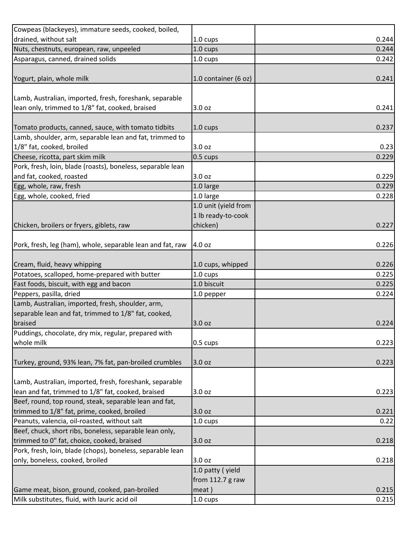| Cowpeas (blackeyes), immature seeds, cooked, boiled,        |                      |       |
|-------------------------------------------------------------|----------------------|-------|
| drained, without salt                                       | 1.0 cups             | 0.244 |
| Nuts, chestnuts, european, raw, unpeeled                    | 1.0 cups             | 0.244 |
| Asparagus, canned, drained solids                           | 1.0 cups             | 0.242 |
|                                                             |                      |       |
| Yogurt, plain, whole milk                                   | 1.0 container (6 oz) | 0.241 |
|                                                             |                      |       |
| Lamb, Australian, imported, fresh, foreshank, separable     |                      |       |
| lean only, trimmed to 1/8" fat, cooked, braised             | 3.0 oz               | 0.241 |
|                                                             |                      |       |
| Tomato products, canned, sauce, with tomato tidbits         | 1.0 cups             | 0.237 |
| Lamb, shoulder, arm, separable lean and fat, trimmed to     |                      |       |
| 1/8" fat, cooked, broiled                                   | 3.0 oz               | 0.23  |
| Cheese, ricotta, part skim milk                             | 0.5 cups             | 0.229 |
| Pork, fresh, loin, blade (roasts), boneless, separable lean |                      |       |
| and fat, cooked, roasted                                    | 3.0 oz               | 0.229 |
| Egg, whole, raw, fresh                                      | 1.0 large            | 0.229 |
| Egg, whole, cooked, fried                                   | 1.0 large            | 0.228 |
|                                                             | 1.0 unit (yield from |       |
|                                                             | 1 lb ready-to-cook   |       |
| Chicken, broilers or fryers, giblets, raw                   | chicken)             | 0.227 |
|                                                             |                      |       |
| Pork, fresh, leg (ham), whole, separable lean and fat, raw  | 4.0 oz               | 0.226 |
|                                                             |                      |       |
| Cream, fluid, heavy whipping                                | 1.0 cups, whipped    | 0.226 |
| Potatoes, scalloped, home-prepared with butter              | 1.0 cups             | 0.225 |
| Fast foods, biscuit, with egg and bacon                     | 1.0 biscuit          | 0.225 |
| Peppers, pasilla, dried                                     | 1.0 pepper           | 0.224 |
| Lamb, Australian, imported, fresh, shoulder, arm,           |                      |       |
| separable lean and fat, trimmed to 1/8" fat, cooked,        |                      |       |
| braised                                                     | 3.0 oz               | 0.224 |
| Puddings, chocolate, dry mix, regular, prepared with        |                      |       |
| whole milk                                                  | 0.5 cups             | 0.223 |
|                                                             |                      |       |
| Turkey, ground, 93% lean, 7% fat, pan-broiled crumbles      | 3.0 oz               | 0.223 |
|                                                             |                      |       |
| Lamb, Australian, imported, fresh, foreshank, separable     |                      |       |
| lean and fat, trimmed to 1/8" fat, cooked, braised          | 3.0 <sub>oz</sub>    | 0.223 |
| Beef, round, top round, steak, separable lean and fat,      |                      |       |
| trimmed to 1/8" fat, prime, cooked, broiled                 | 3.0 oz               | 0.221 |
| Peanuts, valencia, oil-roasted, without salt                | 1.0 cups             | 0.22  |
| Beef, chuck, short ribs, boneless, separable lean only,     |                      |       |
| trimmed to 0" fat, choice, cooked, braised                  | 3.0 oz               | 0.218 |
| Pork, fresh, loin, blade (chops), boneless, separable lean  |                      |       |
| only, boneless, cooked, broiled                             | 3.0 oz               | 0.218 |
|                                                             | 1.0 patty (yield     |       |
|                                                             | from $112.7$ g raw   |       |
| Game meat, bison, ground, cooked, pan-broiled               | meat)                | 0.215 |
| Milk substitutes, fluid, with lauric acid oil               | 1.0 cups             | 0.215 |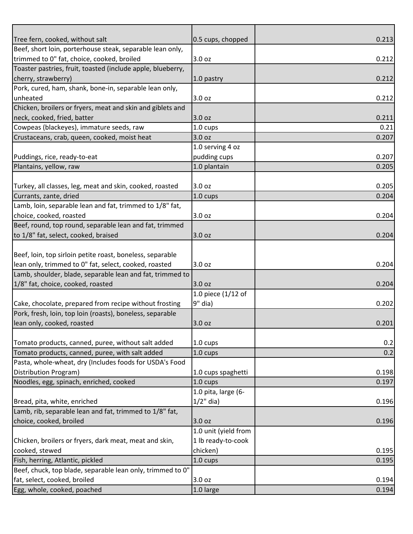| Tree fern, cooked, without salt                             | 0.5 cups, chopped    | 0.213 |
|-------------------------------------------------------------|----------------------|-------|
| Beef, short loin, porterhouse steak, separable lean only,   |                      |       |
| trimmed to 0" fat, choice, cooked, broiled                  | 3.0 oz               | 0.212 |
| Toaster pastries, fruit, toasted (include apple, blueberry, |                      |       |
| cherry, strawberry)                                         | 1.0 pastry           | 0.212 |
| Pork, cured, ham, shank, bone-in, separable lean only,      |                      |       |
| unheated                                                    | 3.0 oz               | 0.212 |
| Chicken, broilers or fryers, meat and skin and giblets and  |                      |       |
| neck, cooked, fried, batter                                 | 3.0 oz               | 0.211 |
| Cowpeas (blackeyes), immature seeds, raw                    | 1.0 cups             | 0.21  |
| Crustaceans, crab, queen, cooked, moist heat                | 3.0 oz               | 0.207 |
|                                                             | 1.0 serving 4 oz     |       |
| Puddings, rice, ready-to-eat                                | pudding cups         | 0.207 |
| Plantains, yellow, raw                                      | 1.0 plantain         | 0.205 |
|                                                             |                      |       |
| Turkey, all classes, leg, meat and skin, cooked, roasted    | 3.0 oz               | 0.205 |
| Currants, zante, dried                                      | 1.0 cups             | 0.204 |
| Lamb, loin, separable lean and fat, trimmed to 1/8" fat,    |                      |       |
| choice, cooked, roasted                                     | 3.0 oz               | 0.204 |
| Beef, round, top round, separable lean and fat, trimmed     |                      |       |
| to 1/8" fat, select, cooked, braised                        | 3.0 oz               | 0.204 |
|                                                             |                      |       |
| Beef, loin, top sirloin petite roast, boneless, separable   |                      |       |
| lean only, trimmed to 0" fat, select, cooked, roasted       | 3.0 oz               | 0.204 |
| Lamb, shoulder, blade, separable lean and fat, trimmed to   |                      |       |
| 1/8" fat, choice, cooked, roasted                           | 3.0 oz               | 0.204 |
|                                                             | 1.0 piece $(1/12$ of |       |
| Cake, chocolate, prepared from recipe without frosting      | 9" dia)              | 0.202 |
| Pork, fresh, loin, top loin (roasts), boneless, separable   |                      |       |
| lean only, cooked, roasted                                  | 3.0 oz               | 0.201 |
|                                                             |                      |       |
| Tomato products, canned, puree, without salt added          | $1.0 \text{ cups}$   | 0.2   |
| Tomato products, canned, puree, with salt added             | 1.0 cups             | 0.2   |
| Pasta, whole-wheat, dry (Includes foods for USDA's Food     |                      |       |
| Distribution Program)                                       | 1.0 cups spaghetti   | 0.198 |
| Noodles, egg, spinach, enriched, cooked                     | 1.0 cups             | 0.197 |
|                                                             | 1.0 pita, large (6-  |       |
| Bread, pita, white, enriched                                | $1/2$ " dia)         | 0.196 |
| Lamb, rib, separable lean and fat, trimmed to 1/8" fat,     |                      |       |
| choice, cooked, broiled                                     | 3.0 oz               | 0.196 |
|                                                             | 1.0 unit (yield from |       |
| Chicken, broilers or fryers, dark meat, meat and skin,      | 1 lb ready-to-cook   |       |
| cooked, stewed                                              | chicken)             | 0.195 |
| Fish, herring, Atlantic, pickled                            | 1.0 cups             | 0.195 |
| Beef, chuck, top blade, separable lean only, trimmed to 0"  |                      |       |
| fat, select, cooked, broiled                                | 3.0 oz               | 0.194 |
| Egg, whole, cooked, poached                                 | 1.0 large            | 0.194 |
|                                                             |                      |       |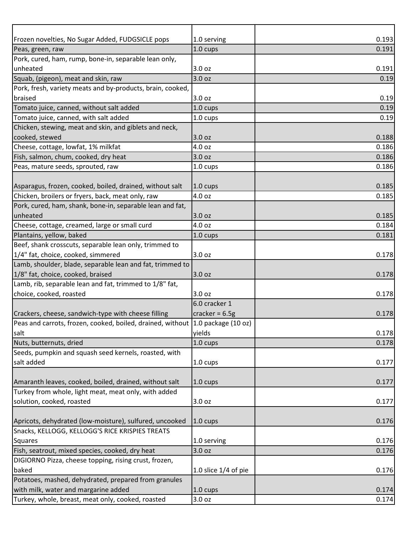| Frozen novelties, No Sugar Added, FUDGSICLE pops                               | 1.0 serving            | 0.193 |
|--------------------------------------------------------------------------------|------------------------|-------|
| Peas, green, raw                                                               | 1.0 cups               | 0.191 |
| Pork, cured, ham, rump, bone-in, separable lean only,                          |                        |       |
| unheated                                                                       | 3.0 oz                 | 0.191 |
| Squab, (pigeon), meat and skin, raw                                            | 3.0 oz                 | 0.19  |
| Pork, fresh, variety meats and by-products, brain, cooked,                     |                        |       |
| braised                                                                        | 3.0 oz                 | 0.19  |
| Tomato juice, canned, without salt added                                       | 1.0 cups               | 0.19  |
| Tomato juice, canned, with salt added                                          | 1.0 cups               | 0.19  |
| Chicken, stewing, meat and skin, and giblets and neck,                         |                        |       |
| cooked, stewed                                                                 | 3.0 oz                 | 0.188 |
| Cheese, cottage, lowfat, 1% milkfat                                            | 4.0 oz                 | 0.186 |
| Fish, salmon, chum, cooked, dry heat                                           | 3.0 oz                 | 0.186 |
| Peas, mature seeds, sprouted, raw                                              | 1.0 cups               | 0.186 |
|                                                                                |                        |       |
| Asparagus, frozen, cooked, boiled, drained, without salt                       | 1.0 cups               | 0.185 |
| Chicken, broilers or fryers, back, meat only, raw                              | 4.0 oz                 | 0.185 |
| Pork, cured, ham, shank, bone-in, separable lean and fat,                      |                        |       |
| unheated                                                                       | 3.0 oz                 | 0.185 |
| Cheese, cottage, creamed, large or small curd                                  | 4.0 oz                 | 0.184 |
| Plantains, yellow, baked                                                       | 1.0 cups               | 0.181 |
| Beef, shank crosscuts, separable lean only, trimmed to                         |                        |       |
| 1/4" fat, choice, cooked, simmered                                             | 3.0 oz                 | 0.178 |
| Lamb, shoulder, blade, separable lean and fat, trimmed to                      |                        |       |
| 1/8" fat, choice, cooked, braised                                              | 3.0 oz                 | 0.178 |
| Lamb, rib, separable lean and fat, trimmed to 1/8" fat,                        |                        |       |
| choice, cooked, roasted                                                        | 3.0 oz                 | 0.178 |
|                                                                                | 6.0 cracker 1          |       |
| Crackers, cheese, sandwich-type with cheese filling                            | cracker = $6.5g$       | 0.178 |
| Peas and carrots, frozen, cooked, boiled, drained, without 1.0 package (10 oz) |                        |       |
| salt                                                                           | yields                 | 0.178 |
| Nuts, butternuts, dried                                                        | 1.0 cups               | 0.178 |
| Seeds, pumpkin and squash seed kernels, roasted, with                          |                        |       |
| salt added                                                                     | 1.0 cups               | 0.177 |
|                                                                                |                        |       |
| Amaranth leaves, cooked, boiled, drained, without salt                         | $1.0 \text{ cups}$     | 0.177 |
| Turkey from whole, light meat, meat only, with added                           |                        |       |
| solution, cooked, roasted                                                      | 3.0 oz                 | 0.177 |
|                                                                                |                        |       |
| Apricots, dehydrated (low-moisture), sulfured, uncooked                        | $1.0 \text{ cups}$     | 0.176 |
| Snacks, KELLOGG, KELLOGG'S RICE KRISPIES TREATS                                |                        |       |
| Squares                                                                        | 1.0 serving            | 0.176 |
| Fish, seatrout, mixed species, cooked, dry heat                                | 3.0 oz                 | 0.176 |
| DIGIORNO Pizza, cheese topping, rising crust, frozen,                          |                        |       |
| baked                                                                          | 1.0 slice $1/4$ of pie | 0.176 |
| Potatoes, mashed, dehydrated, prepared from granules                           |                        |       |
| with milk, water and margarine added                                           | 1.0 cups               | 0.174 |
| Turkey, whole, breast, meat only, cooked, roasted                              | 3.0 oz                 | 0.174 |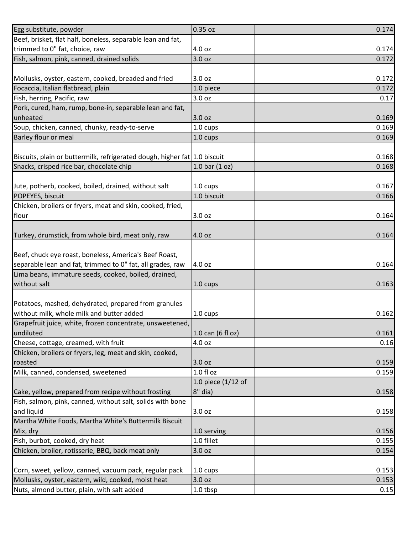| Egg substitute, powder                                                    | 0.35 oz            | 0.174 |
|---------------------------------------------------------------------------|--------------------|-------|
| Beef, brisket, flat half, boneless, separable lean and fat,               |                    |       |
| trimmed to 0" fat, choice, raw                                            | 4.0 oz             | 0.174 |
| Fish, salmon, pink, canned, drained solids                                | 3.0 oz             | 0.172 |
|                                                                           |                    |       |
| Mollusks, oyster, eastern, cooked, breaded and fried                      | 3.0 oz             | 0.172 |
| Focaccia, Italian flatbread, plain                                        | 1.0 piece          | 0.172 |
| Fish, herring, Pacific, raw                                               | 3.0 oz             | 0.17  |
| Pork, cured, ham, rump, bone-in, separable lean and fat,                  |                    |       |
| unheated                                                                  | 3.0 oz             | 0.169 |
| Soup, chicken, canned, chunky, ready-to-serve                             | 1.0 cups           | 0.169 |
| Barley flour or meal                                                      | 1.0 cups           | 0.169 |
|                                                                           |                    |       |
| Biscuits, plain or buttermilk, refrigerated dough, higher fat 1.0 biscuit |                    | 0.168 |
| Snacks, crisped rice bar, chocolate chip                                  | 1.0 bar $(1 oz)$   | 0.168 |
|                                                                           |                    |       |
| Jute, potherb, cooked, boiled, drained, without salt                      | 1.0 cups           | 0.167 |
| POPEYES, biscuit                                                          | 1.0 biscuit        | 0.166 |
| Chicken, broilers or fryers, meat and skin, cooked, fried,                |                    |       |
| flour                                                                     | 3.0 oz             | 0.164 |
|                                                                           |                    |       |
| Turkey, drumstick, from whole bird, meat only, raw                        | 4.0 oz             | 0.164 |
|                                                                           |                    |       |
| Beef, chuck eye roast, boneless, America's Beef Roast,                    |                    |       |
| separable lean and fat, trimmed to 0" fat, all grades, raw                | 4.0 oz             | 0.164 |
| Lima beans, immature seeds, cooked, boiled, drained,                      |                    |       |
| without salt                                                              | 1.0 cups           | 0.163 |
|                                                                           |                    |       |
| Potatoes, mashed, dehydrated, prepared from granules                      |                    |       |
| without milk, whole milk and butter added                                 | $1.0 \text{ cups}$ | 0.162 |
| Grapefruit juice, white, frozen concentrate, unsweetened,                 |                    |       |
| undiluted                                                                 | 1.0 can (6 fl oz)  | 0.161 |
| Cheese, cottage, creamed, with fruit                                      | 4.0 oz             | 0.16  |
| Chicken, broilers or fryers, leg, meat and skin, cooked,                  |                    |       |
| roasted                                                                   | 3.0 oz             | 0.159 |
| Milk, canned, condensed, sweetened                                        | $1.0 f$ l oz       | 0.159 |
|                                                                           | 1.0 piece (1/12 of |       |
| Cake, yellow, prepared from recipe without frosting                       | $8"$ dia)          | 0.158 |
| Fish, salmon, pink, canned, without salt, solids with bone                |                    |       |
| and liquid                                                                | 3.0 oz             | 0.158 |
| Martha White Foods, Martha White's Buttermilk Biscuit                     |                    |       |
| Mix, dry                                                                  | 1.0 serving        | 0.156 |
| Fish, burbot, cooked, dry heat                                            | 1.0 fillet         | 0.155 |
| Chicken, broiler, rotisserie, BBQ, back meat only                         | 3.0 oz             | 0.154 |
|                                                                           |                    |       |
| Corn, sweet, yellow, canned, vacuum pack, regular pack                    | 1.0 cups           | 0.153 |
| Mollusks, oyster, eastern, wild, cooked, moist heat                       | 3.0 oz             | 0.153 |
| Nuts, almond butter, plain, with salt added                               | 1.0 tbsp           | 0.15  |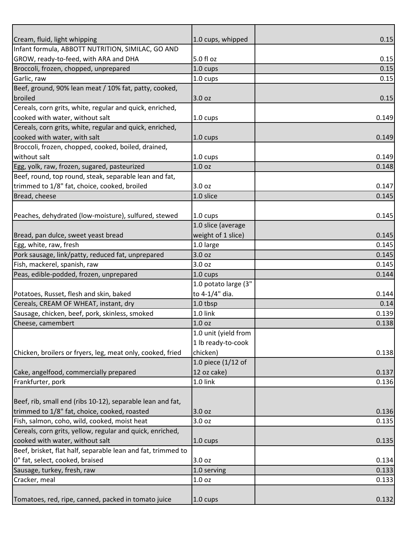| Cream, fluid, light whipping                                 | 1.0 cups, whipped    | 0.15  |
|--------------------------------------------------------------|----------------------|-------|
| Infant formula, ABBOTT NUTRITION, SIMILAC, GO AND            |                      |       |
| GROW, ready-to-feed, with ARA and DHA                        | 5.0 fl oz            | 0.15  |
|                                                              |                      | 0.15  |
| Broccoli, frozen, chopped, unprepared                        | 1.0 cups             |       |
| Garlic, raw                                                  | 1.0 cups             | 0.15  |
| Beef, ground, 90% lean meat / 10% fat, patty, cooked,        |                      |       |
| broiled                                                      | 3.0 oz               | 0.15  |
| Cereals, corn grits, white, regular and quick, enriched,     |                      |       |
| cooked with water, without salt                              | 1.0 cups             | 0.149 |
| Cereals, corn grits, white, regular and quick, enriched,     |                      |       |
| cooked with water, with salt                                 | 1.0 cups             | 0.149 |
| Broccoli, frozen, chopped, cooked, boiled, drained,          |                      |       |
| without salt                                                 | 1.0 cups             | 0.149 |
| Egg, yolk, raw, frozen, sugared, pasteurized                 | 1.0 <sub>oz</sub>    | 0.148 |
| Beef, round, top round, steak, separable lean and fat,       |                      |       |
| trimmed to 1/8" fat, choice, cooked, broiled                 | 3.0 oz               | 0.147 |
| Bread, cheese                                                | 1.0 slice            | 0.145 |
|                                                              |                      |       |
| Peaches, dehydrated (low-moisture), sulfured, stewed         | 1.0 cups             | 0.145 |
|                                                              | 1.0 slice (average   |       |
| Bread, pan dulce, sweet yeast bread                          | weight of 1 slice)   | 0.145 |
| Egg, white, raw, fresh                                       | 1.0 large            | 0.145 |
| Pork sausage, link/patty, reduced fat, unprepared            | 3.0 oz               | 0.145 |
| Fish, mackerel, spanish, raw                                 | 3.0 oz               | 0.145 |
| Peas, edible-podded, frozen, unprepared                      | 1.0 cups             | 0.144 |
|                                                              | 1.0 potato large (3" |       |
| Potatoes, Russet, flesh and skin, baked                      | to 4-1/4" dia.       | 0.144 |
| Cereals, CREAM OF WHEAT, instant, dry                        | 1.0 tbsp             | 0.14  |
| Sausage, chicken, beef, pork, skinless, smoked               | 1.0 link             | 0.139 |
| Cheese, camembert                                            | 1.0 <sub>oz</sub>    | 0.138 |
|                                                              | 1.0 unit (yield from |       |
|                                                              | 1 lb ready-to-cook   |       |
| Chicken, broilers or fryers, leg, meat only, cooked, fried   | chicken)             | 0.138 |
|                                                              | 1.0 piece $(1/12$ of |       |
| Cake, angelfood, commercially prepared                       | 12 oz cake)          | 0.137 |
| Frankfurter, pork                                            | 1.0 link             |       |
|                                                              |                      | 0.136 |
| Beef, rib, small end (ribs 10-12), separable lean and fat,   |                      |       |
| trimmed to 1/8" fat, choice, cooked, roasted                 |                      | 0.136 |
|                                                              | 3.0 oz               |       |
| Fish, salmon, coho, wild, cooked, moist heat                 | 3.0 oz               | 0.135 |
| Cereals, corn grits, yellow, regular and quick, enriched,    |                      |       |
| cooked with water, without salt                              | 1.0 cups             | 0.135 |
| Beef, brisket, flat half, separable lean and fat, trimmed to |                      |       |
| 0" fat, select, cooked, braised                              | 3.0 oz               | 0.134 |
| Sausage, turkey, fresh, raw                                  | 1.0 serving          | 0.133 |
| Cracker, meal                                                | 1.0 oz               | 0.133 |
|                                                              |                      |       |
| Tomatoes, red, ripe, canned, packed in tomato juice          | $1.0 \text{ cups}$   | 0.132 |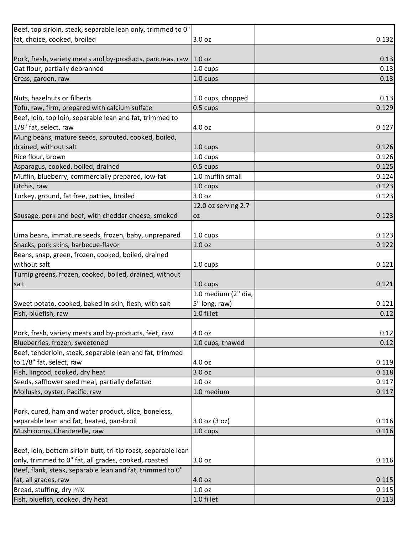| Beef, top sirloin, steak, separable lean only, trimmed to 0"   |                     |       |
|----------------------------------------------------------------|---------------------|-------|
| fat, choice, cooked, broiled                                   | 3.0 oz              | 0.132 |
|                                                                |                     |       |
| Pork, fresh, variety meats and by-products, pancreas, raw      | 1.0 oz              | 0.13  |
| Oat flour, partially debranned                                 | 1.0 cups            | 0.13  |
| Cress, garden, raw                                             | 1.0 cups            | 0.13  |
|                                                                |                     |       |
| Nuts, hazelnuts or filberts                                    | 1.0 cups, chopped   | 0.13  |
| Tofu, raw, firm, prepared with calcium sulfate                 | 0.5 cups            | 0.129 |
| Beef, loin, top loin, separable lean and fat, trimmed to       |                     |       |
| 1/8" fat, select, raw                                          | 4.0 oz              | 0.127 |
| Mung beans, mature seeds, sprouted, cooked, boiled,            |                     |       |
| drained, without salt                                          | 1.0 cups            | 0.126 |
| Rice flour, brown                                              | 1.0 cups            | 0.126 |
| Asparagus, cooked, boiled, drained                             | 0.5 cups            | 0.125 |
| Muffin, blueberry, commercially prepared, low-fat              | 1.0 muffin small    | 0.124 |
| Litchis, raw                                                   | 1.0 cups            | 0.123 |
| Turkey, ground, fat free, patties, broiled                     | 3.0 oz              | 0.123 |
|                                                                | 12.0 oz serving 2.7 |       |
| Sausage, pork and beef, with cheddar cheese, smoked            | <b>OZ</b>           | 0.123 |
|                                                                |                     |       |
| Lima beans, immature seeds, frozen, baby, unprepared           | 1.0 cups            | 0.123 |
| Snacks, pork skins, barbecue-flavor                            | 1.0 <sub>oz</sub>   | 0.122 |
| Beans, snap, green, frozen, cooked, boiled, drained            |                     |       |
| without salt                                                   | 1.0 cups            | 0.121 |
| Turnip greens, frozen, cooked, boiled, drained, without        |                     |       |
| salt                                                           | 1.0 cups            | 0.121 |
|                                                                | 1.0 medium (2" dia, |       |
| Sweet potato, cooked, baked in skin, flesh, with salt          | 5" long, raw)       | 0.121 |
| Fish, bluefish, raw                                            | 1.0 fillet          | 0.12  |
|                                                                |                     |       |
| Pork, fresh, variety meats and by-products, feet, raw          | 4.0 oz              | 0.12  |
| Blueberries, frozen, sweetened                                 | 1.0 cups, thawed    | 0.12  |
| Beef, tenderloin, steak, separable lean and fat, trimmed       |                     |       |
| to 1/8" fat, select, raw                                       | 4.0 oz              | 0.119 |
| Fish, lingcod, cooked, dry heat                                | 3.0 oz              | 0.118 |
| Seeds, safflower seed meal, partially defatted                 | 1.0 <sub>oz</sub>   | 0.117 |
| Mollusks, oyster, Pacific, raw                                 | 1.0 medium          | 0.117 |
|                                                                |                     |       |
| Pork, cured, ham and water product, slice, boneless,           |                     |       |
| separable lean and fat, heated, pan-broil                      | $3.0$ oz $(3$ oz)   | 0.116 |
| Mushrooms, Chanterelle, raw                                    | 1.0 cups            | 0.116 |
|                                                                |                     |       |
| Beef, loin, bottom sirloin butt, tri-tip roast, separable lean |                     |       |
| only, trimmed to 0" fat, all grades, cooked, roasted           | 3.0 oz              | 0.116 |
| Beef, flank, steak, separable lean and fat, trimmed to 0"      |                     |       |
| fat, all grades, raw                                           | 4.0 oz              | 0.115 |
| Bread, stuffing, dry mix                                       | 1.0 oz              | 0.115 |
| Fish, bluefish, cooked, dry heat                               | 1.0 fillet          | 0.113 |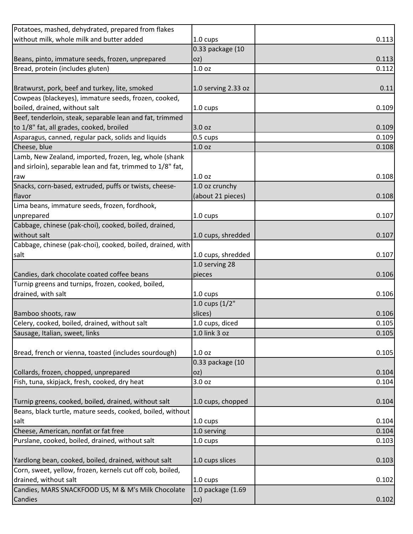| Potatoes, mashed, dehydrated, prepared from flakes         |                     |       |
|------------------------------------------------------------|---------------------|-------|
| without milk, whole milk and butter added                  | 1.0 cups            | 0.113 |
|                                                            | 0.33 package (10    |       |
| Beans, pinto, immature seeds, frozen, unprepared           | oz)                 | 0.113 |
| Bread, protein (includes gluten)                           | 1.0 <sub>oz</sub>   | 0.112 |
|                                                            |                     |       |
| Bratwurst, pork, beef and turkey, lite, smoked             | 1.0 serving 2.33 oz | 0.11  |
| Cowpeas (blackeyes), immature seeds, frozen, cooked,       |                     |       |
| boiled, drained, without salt                              | 1.0 cups            | 0.109 |
| Beef, tenderloin, steak, separable lean and fat, trimmed   |                     |       |
| to 1/8" fat, all grades, cooked, broiled                   | 3.0 oz              | 0.109 |
| Asparagus, canned, regular pack, solids and liquids        | 0.5 cups            | 0.109 |
| Cheese, blue                                               | 1.0 <sub>oz</sub>   | 0.108 |
| Lamb, New Zealand, imported, frozen, leg, whole (shank     |                     |       |
| and sirloin), separable lean and fat, trimmed to 1/8" fat, |                     |       |
| raw                                                        | 1.0 <sub>oz</sub>   | 0.108 |
| Snacks, corn-based, extruded, puffs or twists, cheese-     | 1.0 oz crunchy      |       |
| flavor                                                     | (about 21 pieces)   | 0.108 |
| Lima beans, immature seeds, frozen, fordhook,              |                     |       |
| unprepared                                                 | 1.0 cups            | 0.107 |
| Cabbage, chinese (pak-choi), cooked, boiled, drained,      |                     |       |
| without salt                                               | 1.0 cups, shredded  | 0.107 |
| Cabbage, chinese (pak-choi), cooked, boiled, drained, with |                     |       |
| salt                                                       | 1.0 cups, shredded  | 0.107 |
|                                                            | 1.0 serving 28      |       |
| Candies, dark chocolate coated coffee beans                | pieces              | 0.106 |
| Turnip greens and turnips, frozen, cooked, boiled,         |                     |       |
| drained, with salt                                         | 1.0 cups            | 0.106 |
|                                                            | 1.0 cups $(1/2"$    |       |
| Bamboo shoots, raw                                         | slices)             | 0.106 |
| Celery, cooked, boiled, drained, without salt              | 1.0 cups, diced     | 0.105 |
| Sausage, Italian, sweet, links                             | 1.0 link 3 oz       | 0.105 |
|                                                            |                     |       |
| Bread, french or vienna, toasted (includes sourdough)      | 1.0 <sub>oz</sub>   | 0.105 |
|                                                            | 0.33 package (10    |       |
| Collards, frozen, chopped, unprepared                      | oz)                 | 0.104 |
| Fish, tuna, skipjack, fresh, cooked, dry heat              | 3.0 oz              | 0.104 |
|                                                            |                     |       |
| Turnip greens, cooked, boiled, drained, without salt       | 1.0 cups, chopped   | 0.104 |
| Beans, black turtle, mature seeds, cooked, boiled, without |                     |       |
| salt                                                       | 1.0 cups            | 0.104 |
| Cheese, American, nonfat or fat free                       | 1.0 serving         | 0.104 |
| Purslane, cooked, boiled, drained, without salt            | 1.0 cups            | 0.103 |
|                                                            |                     |       |
| Yardlong bean, cooked, boiled, drained, without salt       | 1.0 cups slices     | 0.103 |
| Corn, sweet, yellow, frozen, kernels cut off cob, boiled,  |                     |       |
| drained, without salt                                      | 1.0 cups            | 0.102 |
| Candies, MARS SNACKFOOD US, M & M's Milk Chocolate         | 1.0 package (1.69   |       |
| Candies                                                    | oz)                 | 0.102 |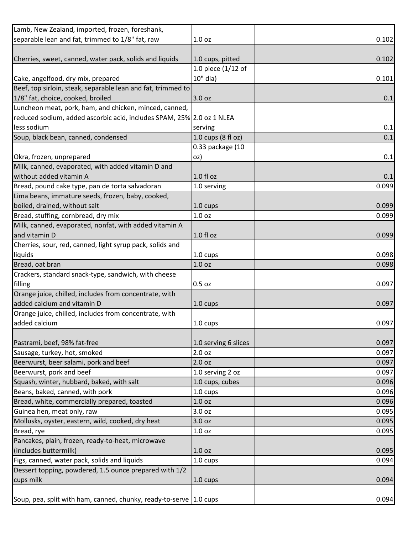| Lamb, New Zealand, imported, frozen, foreshank,                       |                      |       |
|-----------------------------------------------------------------------|----------------------|-------|
| separable lean and fat, trimmed to 1/8" fat, raw                      | 1.0 <sub>oz</sub>    | 0.102 |
|                                                                       |                      |       |
| Cherries, sweet, canned, water pack, solids and liquids               | 1.0 cups, pitted     | 0.102 |
|                                                                       | 1.0 piece (1/12 of   |       |
| Cake, angelfood, dry mix, prepared                                    | 10" dia)             | 0.101 |
| Beef, top sirloin, steak, separable lean and fat, trimmed to          |                      |       |
| 1/8" fat, choice, cooked, broiled                                     | 3.0 oz               | 0.1   |
| Luncheon meat, pork, ham, and chicken, minced, canned,                |                      |       |
| reduced sodium, added ascorbic acid, includes SPAM, 25% 2.0 oz 1 NLEA |                      |       |
| less sodium                                                           | serving              | 0.1   |
| Soup, black bean, canned, condensed                                   | 1.0 cups (8 fl oz)   | 0.1   |
|                                                                       | 0.33 package (10     |       |
| Okra, frozen, unprepared                                              | oz)                  | 0.1   |
| Milk, canned, evaporated, with added vitamin D and                    |                      |       |
| without added vitamin A                                               | $1.0 f$ l oz         | 0.1   |
| Bread, pound cake type, pan de torta salvadoran                       | 1.0 serving          | 0.099 |
| Lima beans, immature seeds, frozen, baby, cooked,                     |                      |       |
| boiled, drained, without salt                                         | 1.0 cups             | 0.099 |
| Bread, stuffing, cornbread, dry mix                                   | 1.0 <sub>oz</sub>    | 0.099 |
| Milk, canned, evaporated, nonfat, with added vitamin A                |                      |       |
| and vitamin D                                                         | $1.0 f$ l oz         | 0.099 |
| Cherries, sour, red, canned, light syrup pack, solids and             |                      |       |
| liquids                                                               | 1.0 cups             | 0.098 |
| Bread, oat bran                                                       | 1.0 <sub>oz</sub>    | 0.098 |
| Crackers, standard snack-type, sandwich, with cheese                  |                      |       |
| filling                                                               | $0.5$ oz             | 0.097 |
| Orange juice, chilled, includes from concentrate, with                |                      |       |
| added calcium and vitamin D                                           | 1.0 cups             | 0.097 |
| Orange juice, chilled, includes from concentrate, with                |                      |       |
| added calcium                                                         | 1.0 cups             | 0.097 |
|                                                                       |                      |       |
| Pastrami, beef, 98% fat-free                                          | 1.0 serving 6 slices | 0.097 |
| Sausage, turkey, hot, smoked                                          | 2.0 <sub>oz</sub>    | 0.097 |
| Beerwurst, beer salami, pork and beef                                 | 2.0 oz               | 0.097 |
| Beerwurst, pork and beef                                              | 1.0 serving 2 oz     | 0.097 |
| Squash, winter, hubbard, baked, with salt                             | 1.0 cups, cubes      | 0.096 |
| Beans, baked, canned, with pork                                       | 1.0 cups             | 0.096 |
| Bread, white, commercially prepared, toasted                          | 1.0 <sub>oz</sub>    | 0.096 |
| Guinea hen, meat only, raw                                            | 3.0 oz               | 0.095 |
| Mollusks, oyster, eastern, wild, cooked, dry heat                     | 3.0 oz               | 0.095 |
| Bread, rye                                                            | 1.0 <sub>oz</sub>    | 0.095 |
| Pancakes, plain, frozen, ready-to-heat, microwave                     |                      |       |
| (includes buttermilk)                                                 | 1.0 <sub>oz</sub>    | 0.095 |
| Figs, canned, water pack, solids and liquids                          | 1.0 cups             | 0.094 |
| Dessert topping, powdered, 1.5 ounce prepared with 1/2                |                      |       |
| cups milk                                                             | $1.0 \text{ cups}$   | 0.094 |
|                                                                       |                      |       |
| Soup, pea, split with ham, canned, chunky, ready-to-serve 1.0 cups    |                      | 0.094 |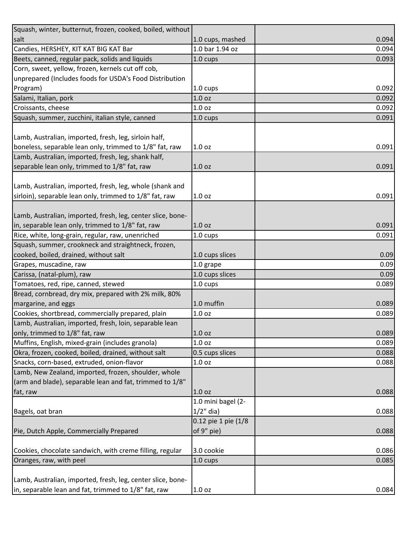| Squash, winter, butternut, frozen, cooked, boiled, without  |                     |       |
|-------------------------------------------------------------|---------------------|-------|
| salt                                                        | 1.0 cups, mashed    | 0.094 |
| Candies, HERSHEY, KIT KAT BIG KAT Bar                       | 1.0 bar 1.94 oz     | 0.094 |
| Beets, canned, regular pack, solids and liquids             | $1.0 \text{ cups}$  | 0.093 |
| Corn, sweet, yellow, frozen, kernels cut off cob,           |                     |       |
| unprepared (Includes foods for USDA's Food Distribution     |                     |       |
| Program)                                                    | $1.0 \text{ cups}$  | 0.092 |
| Salami, Italian, pork                                       | 1.0 <sub>oz</sub>   | 0.092 |
| Croissants, cheese                                          | 1.0 <sub>oz</sub>   | 0.092 |
| Squash, summer, zucchini, italian style, canned             | 1.0 cups            | 0.091 |
|                                                             |                     |       |
| Lamb, Australian, imported, fresh, leg, sirloin half,       |                     |       |
| boneless, separable lean only, trimmed to 1/8" fat, raw     | 1.0 <sub>oz</sub>   | 0.091 |
| Lamb, Australian, imported, fresh, leg, shank half,         |                     |       |
| separable lean only, trimmed to 1/8" fat, raw               | 1.0 <sub>oz</sub>   | 0.091 |
|                                                             |                     |       |
| Lamb, Australian, imported, fresh, leg, whole (shank and    |                     |       |
| sirloin), separable lean only, trimmed to 1/8" fat, raw     | 1.0 <sub>oz</sub>   | 0.091 |
|                                                             |                     |       |
| Lamb, Australian, imported, fresh, leg, center slice, bone- |                     |       |
| in, separable lean only, trimmed to 1/8" fat, raw           | 1.0 <sub>oz</sub>   | 0.091 |
| Rice, white, long-grain, regular, raw, unenriched           | $1.0 \text{ cups}$  | 0.091 |
| Squash, summer, crookneck and straightneck, frozen,         |                     |       |
| cooked, boiled, drained, without salt                       | 1.0 cups slices     | 0.09  |
| Grapes, muscadine, raw                                      | 1.0 grape           | 0.09  |
| Carissa, (natal-plum), raw                                  | 1.0 cups slices     | 0.09  |
| Tomatoes, red, ripe, canned, stewed                         | 1.0 cups            | 0.089 |
| Bread, cornbread, dry mix, prepared with 2% milk, 80%       |                     |       |
| margarine, and eggs                                         | 1.0 muffin          | 0.089 |
| Cookies, shortbread, commercially prepared, plain           | 1.0 <sub>oz</sub>   | 0.089 |
| Lamb, Australian, imported, fresh, loin, separable lean     |                     |       |
| only, trimmed to 1/8" fat, raw                              | 1.0 <sub>oz</sub>   | 0.089 |
| Muffins, English, mixed-grain (includes granola)            | 1.0 <sub>oz</sub>   | 0.089 |
| Okra, frozen, cooked, boiled, drained, without salt         | 0.5 cups slices     | 0.088 |
| Snacks, corn-based, extruded, onion-flavor                  | 1.0 <sub>oz</sub>   | 0.088 |
| Lamb, New Zealand, imported, frozen, shoulder, whole        |                     |       |
| (arm and blade), separable lean and fat, trimmed to 1/8"    |                     |       |
| fat, raw                                                    | 1.0 <sub>oz</sub>   | 0.088 |
|                                                             | 1.0 mini bagel (2-  |       |
| Bagels, oat bran                                            | $1/2$ " dia)        | 0.088 |
|                                                             | 0.12 pie 1 pie (1/8 |       |
| Pie, Dutch Apple, Commercially Prepared                     | of 9" pie)          | 0.088 |
|                                                             |                     |       |
| Cookies, chocolate sandwich, with creme filling, regular    | 3.0 cookie          | 0.086 |
| Oranges, raw, with peel                                     | 1.0 cups            | 0.085 |
|                                                             |                     |       |
| Lamb, Australian, imported, fresh, leg, center slice, bone- |                     |       |
| in, separable lean and fat, trimmed to 1/8" fat, raw        | 1.0 <sub>oz</sub>   | 0.084 |
|                                                             |                     |       |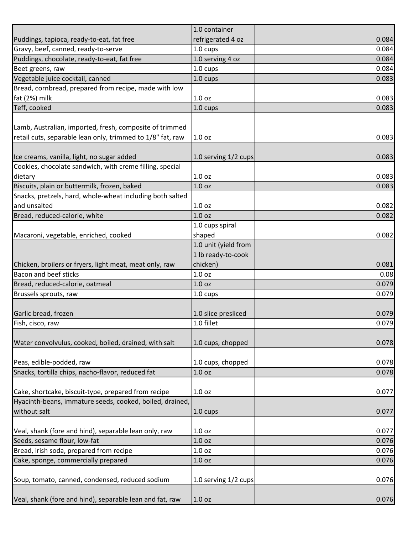|                                                                                         | 1.0 container                     |       |
|-----------------------------------------------------------------------------------------|-----------------------------------|-------|
| Puddings, tapioca, ready-to-eat, fat free                                               | refrigerated 4 oz                 | 0.084 |
| Gravy, beef, canned, ready-to-serve                                                     | 1.0 cups                          | 0.084 |
| Puddings, chocolate, ready-to-eat, fat free                                             | 1.0 serving 4 oz                  | 0.084 |
| Beet greens, raw                                                                        | 1.0 cups                          | 0.084 |
| Vegetable juice cocktail, canned                                                        | 1.0 cups                          | 0.083 |
| Bread, cornbread, prepared from recipe, made with low                                   |                                   |       |
| fat (2%) milk                                                                           | 1.0 <sub>oz</sub>                 | 0.083 |
| Teff, cooked                                                                            | 1.0 cups                          | 0.083 |
|                                                                                         |                                   |       |
| Lamb, Australian, imported, fresh, composite of trimmed                                 |                                   |       |
| retail cuts, separable lean only, trimmed to 1/8" fat, raw                              | 1.0 <sub>oz</sub>                 | 0.083 |
|                                                                                         |                                   |       |
| Ice creams, vanilla, light, no sugar added                                              | 1.0 serving 1/2 cups              | 0.083 |
| Cookies, chocolate sandwich, with creme filling, special                                |                                   |       |
| dietary                                                                                 | 1.0 <sub>oz</sub>                 | 0.083 |
| Biscuits, plain or buttermilk, frozen, baked                                            | 1.0 <sub>oz</sub>                 | 0.083 |
| Snacks, pretzels, hard, whole-wheat including both salted                               |                                   |       |
| and unsalted                                                                            | 1.0 <sub>oz</sub>                 | 0.082 |
| Bread, reduced-calorie, white                                                           | 1.0 oz                            | 0.082 |
|                                                                                         | 1.0 cups spiral                   |       |
| Macaroni, vegetable, enriched, cooked                                                   | shaped                            | 0.082 |
|                                                                                         | 1.0 unit (yield from              |       |
|                                                                                         | 1 lb ready-to-cook                |       |
|                                                                                         | chicken)                          | 0.081 |
| Chicken, broilers or fryers, light meat, meat only, raw<br><b>Bacon and beef sticks</b> | 1.0 oz                            | 0.08  |
| Bread, reduced-calorie, oatmeal                                                         | 1.0 <sub>oz</sub>                 | 0.079 |
|                                                                                         |                                   |       |
| Brussels sprouts, raw                                                                   | 1.0 cups                          | 0.079 |
|                                                                                         |                                   | 0.079 |
| Garlic bread, frozen                                                                    | 1.0 slice presliced<br>1.0 fillet |       |
| Fish, cisco, raw                                                                        |                                   | 0.079 |
|                                                                                         |                                   |       |
| Water convolvulus, cooked, boiled, drained, with salt                                   | 1.0 cups, chopped                 | 0.078 |
|                                                                                         |                                   |       |
| Peas, edible-podded, raw                                                                | 1.0 cups, chopped                 | 0.078 |
| Snacks, tortilla chips, nacho-flavor, reduced fat                                       | 1.0 <sub>oz</sub>                 | 0.078 |
|                                                                                         |                                   |       |
| Cake, shortcake, biscuit-type, prepared from recipe                                     | 1.0 <sub>oz</sub>                 | 0.077 |
| Hyacinth-beans, immature seeds, cooked, boiled, drained,                                |                                   |       |
| without salt                                                                            | 1.0 cups                          | 0.077 |
|                                                                                         |                                   |       |
| Veal, shank (fore and hind), separable lean only, raw                                   | 1.0 <sub>oz</sub>                 | 0.077 |
| Seeds, sesame flour, low-fat                                                            | 1.0 <sub>oz</sub>                 | 0.076 |
| Bread, irish soda, prepared from recipe                                                 | 1.0 <sub>oz</sub>                 | 0.076 |
| Cake, sponge, commercially prepared                                                     | 1.0 <sub>oz</sub>                 | 0.076 |
|                                                                                         |                                   |       |
| Soup, tomato, canned, condensed, reduced sodium                                         | 1.0 serving 1/2 cups              | 0.076 |
|                                                                                         |                                   |       |
| Veal, shank (fore and hind), separable lean and fat, raw                                | 1.0 <sub>oz</sub>                 | 0.076 |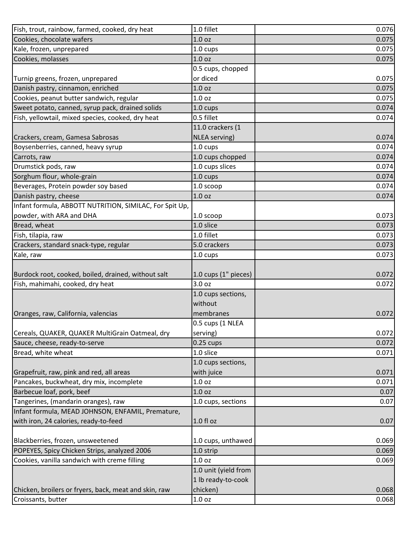| Fish, trout, rainbow, farmed, cooked, dry heat                              | 1.0 fillet                    | 0.076          |
|-----------------------------------------------------------------------------|-------------------------------|----------------|
| Cookies, chocolate wafers                                                   | 1.0 <sub>oz</sub>             | 0.075          |
| Kale, frozen, unprepared                                                    | $1.0 \text{ cups}$            | 0.075          |
| Cookies, molasses                                                           | 1.0 <sub>oz</sub>             | 0.075          |
|                                                                             | 0.5 cups, chopped             |                |
| Turnip greens, frozen, unprepared                                           | or diced                      | 0.075          |
| Danish pastry, cinnamon, enriched                                           | 1.0 <sub>oz</sub>             | 0.075          |
| Cookies, peanut butter sandwich, regular                                    | 1.0 <sub>oz</sub>             | 0.075          |
| Sweet potato, canned, syrup pack, drained solids                            | $1.0 \text{ cups}$            | 0.074          |
| Fish, yellowtail, mixed species, cooked, dry heat                           | 0.5 fillet                    | 0.074          |
|                                                                             | 11.0 crackers (1              |                |
| Crackers, cream, Gamesa Sabrosas                                            | NLEA serving)                 | 0.074          |
| Boysenberries, canned, heavy syrup                                          | 1.0 cups                      | 0.074          |
| Carrots, raw                                                                | 1.0 cups chopped              | 0.074          |
| Drumstick pods, raw                                                         | 1.0 cups slices               | 0.074          |
| Sorghum flour, whole-grain                                                  | 1.0 cups                      | 0.074          |
| Beverages, Protein powder soy based                                         | 1.0 scoop                     | 0.074          |
| Danish pastry, cheese                                                       | 1.0 oz                        | 0.074          |
| Infant formula, ABBOTT NUTRITION, SIMILAC, For Spit Up,                     |                               |                |
| powder, with ARA and DHA                                                    | 1.0 scoop                     | 0.073          |
| Bread, wheat                                                                | 1.0 slice                     | 0.073          |
| Fish, tilapia, raw                                                          | 1.0 fillet                    | 0.073          |
| Crackers, standard snack-type, regular                                      | 5.0 crackers                  | 0.073          |
| Kale, raw                                                                   | 1.0 cups                      | 0.073          |
|                                                                             |                               |                |
| Burdock root, cooked, boiled, drained, without salt                         | 1.0 cups (1" pieces)          | 0.072          |
| Fish, mahimahi, cooked, dry heat                                            | 3.0 oz                        | 0.072          |
|                                                                             | 1.0 cups sections,            |                |
|                                                                             | without                       |                |
| Oranges, raw, California, valencias                                         | membranes                     | 0.072          |
|                                                                             | 0.5 cups (1 NLEA              |                |
| Cereals, QUAKER, QUAKER MultiGrain Oatmeal, dry                             | serving)                      | 0.072          |
| Sauce, cheese, ready-to-serve                                               | $0.25$ cups                   | 0.072          |
| Bread, white wheat                                                          | 1.0 slice                     | 0.071          |
|                                                                             | 1.0 cups sections,            |                |
| Grapefruit, raw, pink and red, all areas                                    | with juice                    | 0.071          |
| Pancakes, buckwheat, dry mix, incomplete                                    | 1.0 <sub>oz</sub>             | 0.071          |
| Barbecue loaf, pork, beef                                                   | 1.0 <sub>oz</sub>             | 0.07           |
| Tangerines, (mandarin oranges), raw                                         | 1.0 cups, sections            | 0.07           |
| Infant formula, MEAD JOHNSON, ENFAMIL, Premature,                           |                               |                |
| with iron, 24 calories, ready-to-feed                                       | 1.0 fl oz                     | 0.07           |
|                                                                             |                               |                |
| Blackberries, frozen, unsweetened                                           | 1.0 cups, unthawed            | 0.069          |
| POPEYES, Spicy Chicken Strips, analyzed 2006                                | 1.0 strip                     | 0.069          |
| Cookies, vanilla sandwich with creme filling                                | 1.0 <sub>oz</sub>             | 0.069          |
|                                                                             | 1.0 unit (yield from          |                |
|                                                                             |                               |                |
|                                                                             | 1 lb ready-to-cook            |                |
| Chicken, broilers or fryers, back, meat and skin, raw<br>Croissants, butter | chicken)<br>1.0 <sub>oz</sub> | 0.068<br>0.068 |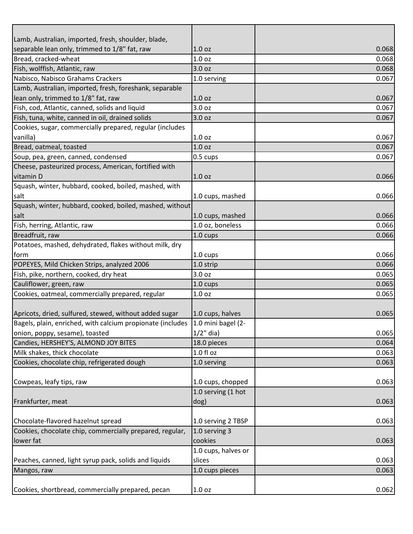| Lamb, Australian, imported, fresh, shoulder, blade,        |                     |       |
|------------------------------------------------------------|---------------------|-------|
| separable lean only, trimmed to 1/8" fat, raw              | 1.0 <sub>oz</sub>   | 0.068 |
| Bread, cracked-wheat                                       | 1.0 <sub>oz</sub>   | 0.068 |
| Fish, wolffish, Atlantic, raw                              | 3.0 <sub>oz</sub>   | 0.068 |
| Nabisco, Nabisco Grahams Crackers                          | 1.0 serving         | 0.067 |
| Lamb, Australian, imported, fresh, foreshank, separable    |                     |       |
| lean only, trimmed to 1/8" fat, raw                        | 1.0 oz              | 0.067 |
| Fish, cod, Atlantic, canned, solids and liquid             | 3.0 <sub>oz</sub>   | 0.067 |
| Fish, tuna, white, canned in oil, drained solids           | 3.0 oz              | 0.067 |
| Cookies, sugar, commercially prepared, regular (includes   |                     |       |
| vanilla)                                                   | 1.0 <sub>oz</sub>   | 0.067 |
| Bread, oatmeal, toasted                                    | 1.0 oz              | 0.067 |
| Soup, pea, green, canned, condensed                        | $0.5 \text{ cups}$  | 0.067 |
| Cheese, pasteurized process, American, fortified with      |                     |       |
| vitamin D                                                  | 1.0 <sub>oz</sub>   | 0.066 |
| Squash, winter, hubbard, cooked, boiled, mashed, with      |                     |       |
| salt                                                       | 1.0 cups, mashed    | 0.066 |
| Squash, winter, hubbard, cooked, boiled, mashed, without   |                     |       |
| salt                                                       | 1.0 cups, mashed    | 0.066 |
| Fish, herring, Atlantic, raw                               | 1.0 oz, boneless    | 0.066 |
| Breadfruit, raw                                            | 1.0 cups            | 0.066 |
| Potatoes, mashed, dehydrated, flakes without milk, dry     |                     |       |
| form                                                       | 1.0 cups            | 0.066 |
| POPEYES, Mild Chicken Strips, analyzed 2006                | 1.0 strip           | 0.066 |
| Fish, pike, northern, cooked, dry heat                     | 3.0 oz              | 0.065 |
| Cauliflower, green, raw                                    | 1.0 cups            | 0.065 |
| Cookies, oatmeal, commercially prepared, regular           | 1.0 <sub>oz</sub>   | 0.065 |
|                                                            |                     |       |
| Apricots, dried, sulfured, stewed, without added sugar     | 1.0 cups, halves    | 0.065 |
| Bagels, plain, enriched, with calcium propionate (includes | 1.0 mini bagel (2-  |       |
| onion, poppy, sesame), toasted                             | $1/2$ " dia)        | 0.065 |
| Candies, HERSHEY'S, ALMOND JOY BITES                       | 18.0 pieces         | 0.064 |
| Milk shakes, thick chocolate                               | $1.0 f$ l oz        | 0.063 |
| Cookies, chocolate chip, refrigerated dough                | 1.0 serving         | 0.063 |
|                                                            |                     |       |
| Cowpeas, leafy tips, raw                                   | 1.0 cups, chopped   | 0.063 |
|                                                            | 1.0 serving (1 hot  |       |
| Frankfurter, meat                                          | dog)                | 0.063 |
|                                                            |                     |       |
| Chocolate-flavored hazelnut spread                         | 1.0 serving 2 TBSP  | 0.063 |
| Cookies, chocolate chip, commercially prepared, regular,   | 1.0 serving 3       |       |
| lower fat                                                  | cookies             | 0.063 |
|                                                            | 1.0 cups, halves or |       |
| Peaches, canned, light syrup pack, solids and liquids      | slices              | 0.063 |
| Mangos, raw                                                | 1.0 cups pieces     | 0.063 |
|                                                            |                     |       |
| Cookies, shortbread, commercially prepared, pecan          | 1.0 oz              | 0.062 |
|                                                            |                     |       |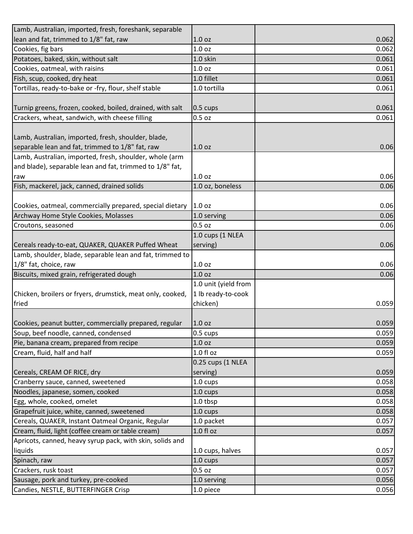| Lamb, Australian, imported, fresh, foreshank, separable    |                      |       |
|------------------------------------------------------------|----------------------|-------|
| lean and fat, trimmed to 1/8" fat, raw                     | 1.0 <sub>oz</sub>    | 0.062 |
| Cookies, fig bars                                          | 1.0 <sub>oz</sub>    | 0.062 |
| Potatoes, baked, skin, without salt                        | 1.0 skin             | 0.061 |
| Cookies, oatmeal, with raisins                             | 1.0 <sub>oz</sub>    | 0.061 |
| Fish, scup, cooked, dry heat                               | 1.0 fillet           | 0.061 |
| Tortillas, ready-to-bake or -fry, flour, shelf stable      | 1.0 tortilla         | 0.061 |
|                                                            |                      |       |
| Turnip greens, frozen, cooked, boiled, drained, with salt  | 0.5 cups             | 0.061 |
| Crackers, wheat, sandwich, with cheese filling             | $0.5$ oz             | 0.061 |
|                                                            |                      |       |
| Lamb, Australian, imported, fresh, shoulder, blade,        |                      |       |
| separable lean and fat, trimmed to 1/8" fat, raw           | 1.0 <sub>oz</sub>    | 0.06  |
| Lamb, Australian, imported, fresh, shoulder, whole (arm    |                      |       |
| and blade), separable lean and fat, trimmed to 1/8" fat,   |                      |       |
| raw                                                        | 1.0 <sub>oz</sub>    | 0.06  |
| Fish, mackerel, jack, canned, drained solids               | 1.0 oz, boneless     | 0.06  |
|                                                            |                      |       |
| Cookies, oatmeal, commercially prepared, special dietary   | 1.0 oz               | 0.06  |
| Archway Home Style Cookies, Molasses                       | 1.0 serving          | 0.06  |
| Croutons, seasoned                                         | $0.5$ oz             | 0.06  |
|                                                            | 1.0 cups (1 NLEA     |       |
| Cereals ready-to-eat, QUAKER, QUAKER Puffed Wheat          | serving)             | 0.06  |
| Lamb, shoulder, blade, separable lean and fat, trimmed to  |                      |       |
| 1/8" fat, choice, raw                                      | 1.0 <sub>oz</sub>    | 0.06  |
| Biscuits, mixed grain, refrigerated dough                  | 1.0 <sub>oz</sub>    | 0.06  |
|                                                            | 1.0 unit (yield from |       |
| Chicken, broilers or fryers, drumstick, meat only, cooked, | 1 lb ready-to-cook   |       |
| fried                                                      | chicken)             | 0.059 |
|                                                            |                      |       |
| Cookies, peanut butter, commercially prepared, regular     | 1.0 <sub>oz</sub>    | 0.059 |
| Soup, beef noodle, canned, condensed                       | 0.5 cups             | 0.059 |
| Pie, banana cream, prepared from recipe                    | 1.0 <sub>oz</sub>    | 0.059 |
| Cream, fluid, half and half                                | $1.0 f$ l oz         | 0.059 |
|                                                            | 0.25 cups (1 NLEA    |       |
| Cereals, CREAM OF RICE, dry                                | serving)             | 0.059 |
| Cranberry sauce, canned, sweetened                         | 1.0 cups             | 0.058 |
| Noodles, japanese, somen, cooked                           | 1.0 cups             | 0.058 |
| Egg, whole, cooked, omelet                                 | 1.0 tbsp             | 0.058 |
| Grapefruit juice, white, canned, sweetened                 | 1.0 cups             | 0.058 |
| Cereals, QUAKER, Instant Oatmeal Organic, Regular          | 1.0 packet           | 0.057 |
| Cream, fluid, light (coffee cream or table cream)          | $1.0 f$ l oz         | 0.057 |
| Apricots, canned, heavy syrup pack, with skin, solids and  |                      |       |
| liquids                                                    | 1.0 cups, halves     | 0.057 |
| Spinach, raw                                               | 1.0 cups             | 0.057 |
| Crackers, rusk toast                                       | $0.5$ oz             | 0.057 |
| Sausage, pork and turkey, pre-cooked                       | 1.0 serving          | 0.056 |
|                                                            |                      |       |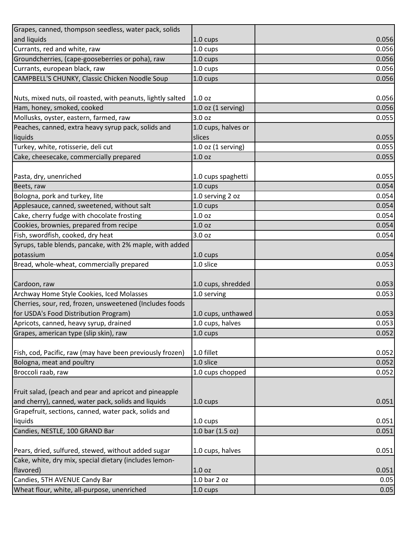| Grapes, canned, thompson seedless, water pack, solids       |                        |       |
|-------------------------------------------------------------|------------------------|-------|
| and liquids                                                 | 1.0 cups               | 0.056 |
| Currants, red and white, raw                                | 1.0 cups               | 0.056 |
| Groundcherries, (cape-gooseberries or poha), raw            | 1.0 cups               | 0.056 |
| Currants, european black, raw                               | 1.0 cups               | 0.056 |
| CAMPBELL'S CHUNKY, Classic Chicken Noodle Soup              | 1.0 cups               | 0.056 |
|                                                             |                        |       |
| Nuts, mixed nuts, oil roasted, with peanuts, lightly salted | 1.0 <sub>oz</sub>      | 0.056 |
| Ham, honey, smoked, cooked                                  | $1.0$ oz $(1$ serving) | 0.056 |
| Mollusks, oyster, eastern, farmed, raw                      | 3.0 <sub>oz</sub>      | 0.055 |
| Peaches, canned, extra heavy syrup pack, solids and         | 1.0 cups, halves or    |       |
| liquids                                                     | slices                 | 0.055 |
| Turkey, white, rotisserie, deli cut                         | $1.0$ oz $(1$ serving) | 0.055 |
| Cake, cheesecake, commercially prepared                     | 1.0 <sub>oz</sub>      | 0.055 |
|                                                             |                        |       |
| Pasta, dry, unenriched                                      | 1.0 cups spaghetti     | 0.055 |
| Beets, raw                                                  | 1.0 cups               | 0.054 |
| Bologna, pork and turkey, lite                              | 1.0 serving 2 oz       | 0.054 |
| Applesauce, canned, sweetened, without salt                 | 1.0 cups               | 0.054 |
| Cake, cherry fudge with chocolate frosting                  | 1.0 <sub>oz</sub>      | 0.054 |
| Cookies, brownies, prepared from recipe                     | 1.0 <sub>oz</sub>      | 0.054 |
| Fish, swordfish, cooked, dry heat                           | 3.0 oz                 | 0.054 |
| Syrups, table blends, pancake, with 2% maple, with added    |                        |       |
| potassium                                                   | 1.0 cups               | 0.054 |
| Bread, whole-wheat, commercially prepared                   | 1.0 slice              | 0.053 |
|                                                             |                        |       |
| Cardoon, raw                                                | 1.0 cups, shredded     | 0.053 |
| Archway Home Style Cookies, Iced Molasses                   | 1.0 serving            | 0.053 |
| Cherries, sour, red, frozen, unsweetened (Includes foods    |                        |       |
| for USDA's Food Distribution Program)                       | 1.0 cups, unthawed     | 0.053 |
| Apricots, canned, heavy syrup, drained                      | 1.0 cups, halves       | 0.053 |
| Grapes, american type (slip skin), raw                      | 1.0 cups               | 0.052 |
|                                                             |                        |       |
| Fish, cod, Pacific, raw (may have been previously frozen)   | 1.0 fillet             | 0.052 |
| Bologna, meat and poultry                                   | 1.0 slice              | 0.052 |
| Broccoli raab, raw                                          | 1.0 cups chopped       | 0.052 |
|                                                             |                        |       |
| Fruit salad, (peach and pear and apricot and pineapple      |                        |       |
| and cherry), canned, water pack, solids and liquids         | $1.0 \text{ cups}$     | 0.051 |
| Grapefruit, sections, canned, water pack, solids and        |                        |       |
| liquids                                                     | $1.0 \text{ cups}$     | 0.051 |
| Candies, NESTLE, 100 GRAND Bar                              | 1.0 bar (1.5 oz)       | 0.051 |
|                                                             |                        |       |
| Pears, dried, sulfured, stewed, without added sugar         | 1.0 cups, halves       | 0.051 |
| Cake, white, dry mix, special dietary (includes lemon-      |                        |       |
| flavored)                                                   | 1.0 <sub>oz</sub>      | 0.051 |
| Candies, 5TH AVENUE Candy Bar                               | $1.0$ bar $2$ oz       | 0.05  |
| Wheat flour, white, all-purpose, unenriched                 | 1.0 cups               | 0.05  |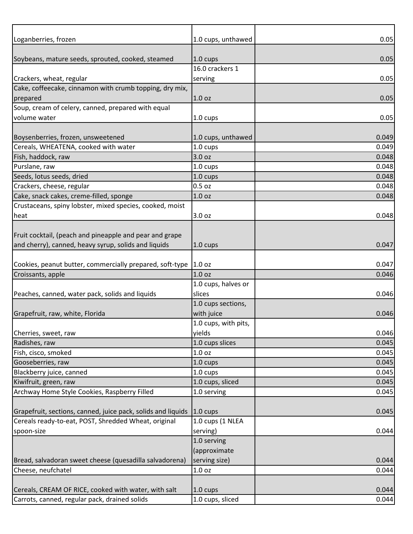| Loganberries, frozen                                                          | 1.0 cups, unthawed   | 0.05  |
|-------------------------------------------------------------------------------|----------------------|-------|
|                                                                               |                      |       |
| Soybeans, mature seeds, sprouted, cooked, steamed                             | $1.0 \text{ cups}$   | 0.05  |
|                                                                               | 16.0 crackers 1      |       |
| Crackers, wheat, regular                                                      | serving              | 0.05  |
| Cake, coffeecake, cinnamon with crumb topping, dry mix,                       |                      |       |
| prepared                                                                      | 1.0 <sub>oz</sub>    | 0.05  |
| Soup, cream of celery, canned, prepared with equal                            |                      |       |
| volume water                                                                  | 1.0 cups             | 0.05  |
|                                                                               |                      |       |
| Boysenberries, frozen, unsweetened                                            | 1.0 cups, unthawed   | 0.049 |
| Cereals, WHEATENA, cooked with water                                          | 1.0 cups             | 0.049 |
| Fish, haddock, raw                                                            | 3.0 oz               | 0.048 |
| Purslane, raw                                                                 | 1.0 cups             | 0.048 |
| Seeds, lotus seeds, dried                                                     | 1.0 cups             | 0.048 |
| Crackers, cheese, regular                                                     | $0.5$ oz             | 0.048 |
| Cake, snack cakes, creme-filled, sponge                                       | 1.0 <sub>oz</sub>    | 0.048 |
| Crustaceans, spiny lobster, mixed species, cooked, moist                      |                      |       |
| heat                                                                          | 3.0 oz               | 0.048 |
|                                                                               |                      |       |
| Fruit cocktail, (peach and pineapple and pear and grape                       |                      |       |
| and cherry), canned, heavy syrup, solids and liquids                          | 1.0 cups             | 0.047 |
|                                                                               |                      |       |
| Cookies, peanut butter, commercially prepared, soft-type 1.0 oz               |                      | 0.047 |
| Croissants, apple                                                             | 1.0 <sub>oz</sub>    | 0.046 |
|                                                                               | 1.0 cups, halves or  |       |
| Peaches, canned, water pack, solids and liquids                               | slices               | 0.046 |
|                                                                               | 1.0 cups sections,   |       |
| Grapefruit, raw, white, Florida                                               | with juice           | 0.046 |
|                                                                               | 1.0 cups, with pits, |       |
| Cherries, sweet, raw                                                          | yields               | 0.046 |
| Radishes, raw                                                                 | 1.0 cups slices      | 0.045 |
| Fish, cisco, smoked                                                           | 1.0 <sub>oz</sub>    | 0.045 |
| Gooseberries, raw                                                             | 1.0 cups             | 0.045 |
| Blackberry juice, canned                                                      | 1.0 cups             | 0.045 |
| Kiwifruit, green, raw                                                         | 1.0 cups, sliced     | 0.045 |
| Archway Home Style Cookies, Raspberry Filled                                  | 1.0 serving          | 0.045 |
|                                                                               |                      |       |
| Grapefruit, sections, canned, juice pack, solids and liquids $\vert$ 1.0 cups |                      | 0.045 |
| Cereals ready-to-eat, POST, Shredded Wheat, original                          | 1.0 cups (1 NLEA     |       |
| spoon-size                                                                    | serving)             | 0.044 |
|                                                                               | 1.0 serving          |       |
|                                                                               | (approximate         |       |
| Bread, salvadoran sweet cheese (quesadilla salvadorena)                       | serving size)        | 0.044 |
| Cheese, neufchatel                                                            | 1.0 <sub>oz</sub>    | 0.044 |
|                                                                               |                      |       |
| Cereals, CREAM OF RICE, cooked with water, with salt                          | 1.0 cups             | 0.044 |
| Carrots, canned, regular pack, drained solids                                 | 1.0 cups, sliced     | 0.044 |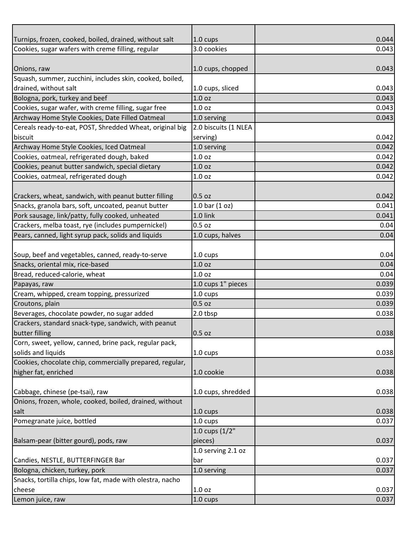| Turnips, frozen, cooked, boiled, drained, without salt    | 1.0 cups             | 0.044 |
|-----------------------------------------------------------|----------------------|-------|
| Cookies, sugar wafers with creme filling, regular         | 3.0 cookies          | 0.043 |
|                                                           |                      |       |
| Onions, raw                                               | 1.0 cups, chopped    | 0.043 |
| Squash, summer, zucchini, includes skin, cooked, boiled,  |                      |       |
| drained, without salt                                     | 1.0 cups, sliced     | 0.043 |
| Bologna, pork, turkey and beef                            | 1.0 <sub>oz</sub>    | 0.043 |
| Cookies, sugar wafer, with creme filling, sugar free      | 1.0 <sub>oz</sub>    | 0.043 |
| Archway Home Style Cookies, Date Filled Oatmeal           | 1.0 serving          | 0.043 |
| Cereals ready-to-eat, POST, Shredded Wheat, original big  | 2.0 biscuits (1 NLEA |       |
| biscuit                                                   | serving)             | 0.042 |
| Archway Home Style Cookies, Iced Oatmeal                  | 1.0 serving          | 0.042 |
| Cookies, oatmeal, refrigerated dough, baked               | 1.0 <sub>oz</sub>    | 0.042 |
| Cookies, peanut butter sandwich, special dietary          | 1.0 <sub>oz</sub>    | 0.042 |
| Cookies, oatmeal, refrigerated dough                      | 1.0 <sub>oz</sub>    | 0.042 |
|                                                           |                      |       |
| Crackers, wheat, sandwich, with peanut butter filling     | 0.5 oz               | 0.042 |
| Snacks, granola bars, soft, uncoated, peanut butter       | 1.0 bar $(1 oz)$     | 0.041 |
| Pork sausage, link/patty, fully cooked, unheated          | 1.0 link             | 0.041 |
| Crackers, melba toast, rye (includes pumpernickel)        | $0.5$ oz             | 0.04  |
| Pears, canned, light syrup pack, solids and liquids       | 1.0 cups, halves     | 0.04  |
|                                                           |                      |       |
| Soup, beef and vegetables, canned, ready-to-serve         | 1.0 cups             | 0.04  |
| Snacks, oriental mix, rice-based                          | 1.0 <sub>oz</sub>    | 0.04  |
| Bread, reduced-calorie, wheat                             | 1.0 <sub>oz</sub>    | 0.04  |
| Papayas, raw                                              | 1.0 cups 1" pieces   | 0.039 |
| Cream, whipped, cream topping, pressurized                | 1.0 cups             | 0.039 |
| Croutons, plain                                           | $0.5$ oz             | 0.039 |
| Beverages, chocolate powder, no sugar added               | 2.0 tbsp             | 0.038 |
| Crackers, standard snack-type, sandwich, with peanut      |                      |       |
| butter filling                                            | 0.5 oz               | 0.038 |
| Corn, sweet, yellow, canned, brine pack, regular pack,    |                      |       |
| solids and liquids                                        | 1.0 cups             | 0.038 |
| Cookies, chocolate chip, commercially prepared, regular,  |                      |       |
| higher fat, enriched                                      | 1.0 cookie           | 0.038 |
|                                                           |                      |       |
| Cabbage, chinese (pe-tsai), raw                           | 1.0 cups, shredded   | 0.038 |
| Onions, frozen, whole, cooked, boiled, drained, without   |                      |       |
| salt                                                      | $1.0 \text{ cups}$   | 0.038 |
| Pomegranate juice, bottled                                | 1.0 cups             | 0.037 |
|                                                           | 1.0 cups $(1/2"$     |       |
| Balsam-pear (bitter gourd), pods, raw                     | pieces)              | 0.037 |
|                                                           | 1.0 serving 2.1 oz   |       |
| Candies, NESTLE, BUTTERFINGER Bar                         | bar                  | 0.037 |
| Bologna, chicken, turkey, pork                            | 1.0 serving          | 0.037 |
| Snacks, tortilla chips, low fat, made with olestra, nacho |                      |       |
| cheese                                                    | 1.0 <sub>oz</sub>    | 0.037 |
| Lemon juice, raw                                          | 1.0 cups             | 0.037 |
|                                                           |                      |       |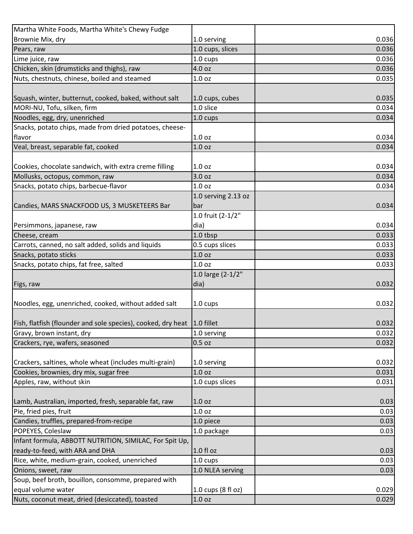| Martha White Foods, Martha White's Chewy Fudge                                  |                     |       |
|---------------------------------------------------------------------------------|---------------------|-------|
| Brownie Mix, dry                                                                | 1.0 serving         | 0.036 |
| Pears, raw                                                                      | 1.0 cups, slices    | 0.036 |
| Lime juice, raw                                                                 | 1.0 cups            | 0.036 |
| Chicken, skin (drumsticks and thighs), raw                                      | 4.0 oz              | 0.036 |
| Nuts, chestnuts, chinese, boiled and steamed                                    | 1.0 <sub>oz</sub>   | 0.035 |
|                                                                                 |                     |       |
| Squash, winter, butternut, cooked, baked, without salt                          | 1.0 cups, cubes     | 0.035 |
| MORI-NU, Tofu, silken, firm                                                     | 1.0 slice           | 0.034 |
| Noodles, egg, dry, unenriched                                                   | 1.0 cups            | 0.034 |
| Snacks, potato chips, made from dried potatoes, cheese-                         |                     |       |
| flavor                                                                          | 1.0 <sub>oz</sub>   | 0.034 |
| Veal, breast, separable fat, cooked                                             | 1.0 <sub>oz</sub>   | 0.034 |
|                                                                                 |                     |       |
| Cookies, chocolate sandwich, with extra creme filling                           | 1.0 <sub>oz</sub>   | 0.034 |
| Mollusks, octopus, common, raw                                                  | 3.0 oz              | 0.034 |
| Snacks, potato chips, barbecue-flavor                                           | 1.0 oz              | 0.034 |
|                                                                                 | 1.0 serving 2.13 oz |       |
| Candies, MARS SNACKFOOD US, 3 MUSKETEERS Bar                                    | bar                 | 0.034 |
|                                                                                 | 1.0 fruit (2-1/2"   |       |
| Persimmons, japanese, raw                                                       | dia)                | 0.034 |
| Cheese, cream                                                                   | 1.0 tbsp            | 0.033 |
| Carrots, canned, no salt added, solids and liquids                              | 0.5 cups slices     | 0.033 |
| Snacks, potato sticks                                                           | 1.0 oz              | 0.033 |
| Snacks, potato chips, fat free, salted                                          | 1.0 <sub>oz</sub>   | 0.033 |
|                                                                                 | 1.0 large (2-1/2"   |       |
| Figs, raw                                                                       | dia)                | 0.032 |
|                                                                                 |                     |       |
| Noodles, egg, unenriched, cooked, without added salt                            | 1.0 cups            | 0.032 |
|                                                                                 |                     |       |
| Fish, flatfish (flounder and sole species), cooked, dry heat $\vert$ 1.0 fillet |                     | 0.032 |
| Gravy, brown instant, dry                                                       | 1.0 serving         | 0.032 |
| Crackers, rye, wafers, seasoned                                                 | $0.5$ oz            | 0.032 |
|                                                                                 |                     |       |
| Crackers, saltines, whole wheat (includes multi-grain)                          | 1.0 serving         | 0.032 |
| Cookies, brownies, dry mix, sugar free                                          | 1.0 oz              | 0.031 |
| Apples, raw, without skin                                                       | 1.0 cups slices     | 0.031 |
|                                                                                 |                     |       |
| Lamb, Australian, imported, fresh, separable fat, raw                           | 1.0 <sub>oz</sub>   | 0.03  |
| Pie, fried pies, fruit                                                          | 1.0 <sub>oz</sub>   | 0.03  |
| Candies, truffles, prepared-from-recipe                                         | 1.0 piece           | 0.03  |
| POPEYES, Coleslaw                                                               | 1.0 package         | 0.03  |
| Infant formula, ABBOTT NUTRITION, SIMILAC, For Spit Up,                         |                     |       |
| ready-to-feed, with ARA and DHA                                                 | 1.0 fl oz           | 0.03  |
| Rice, white, medium-grain, cooked, unenriched                                   | 1.0 cups            | 0.03  |
| Onions, sweet, raw                                                              | 1.0 NLEA serving    | 0.03  |
| Soup, beef broth, bouillon, consomme, prepared with                             |                     |       |
| equal volume water                                                              | 1.0 cups (8 fl oz)  | 0.029 |
| Nuts, coconut meat, dried (desiccated), toasted                                 | 1.0 oz              | 0.029 |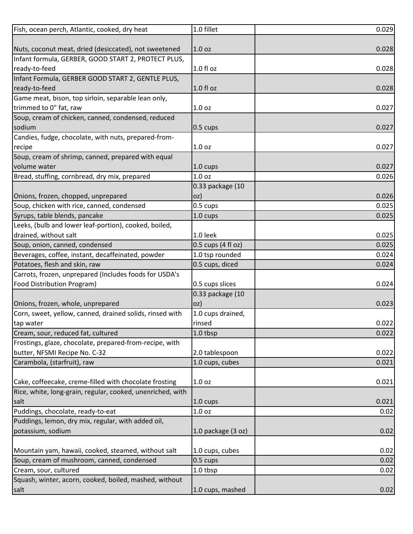| Fish, ocean perch, Atlantic, cooked, dry heat              | 1.0 fillet         | 0.029 |
|------------------------------------------------------------|--------------------|-------|
|                                                            |                    |       |
| Nuts, coconut meat, dried (desiccated), not sweetened      | 1.0 <sub>oz</sub>  | 0.028 |
| Infant formula, GERBER, GOOD START 2, PROTECT PLUS,        |                    |       |
| ready-to-feed                                              | $1.0 f$ l oz       | 0.028 |
| Infant Formula, GERBER GOOD START 2, GENTLE PLUS,          |                    |       |
| ready-to-feed                                              | 1.0 fl oz          | 0.028 |
| Game meat, bison, top sirloin, separable lean only,        |                    |       |
| trimmed to 0" fat, raw                                     | 1.0 <sub>oz</sub>  | 0.027 |
| Soup, cream of chicken, canned, condensed, reduced         |                    |       |
| sodium                                                     | $0.5 \text{ cups}$ | 0.027 |
| Candies, fudge, chocolate, with nuts, prepared-from-       |                    |       |
| recipe                                                     | 1.0 <sub>oz</sub>  | 0.027 |
| Soup, cream of shrimp, canned, prepared with equal         |                    |       |
| volume water                                               | 1.0 cups           | 0.027 |
| Bread, stuffing, cornbread, dry mix, prepared              | 1.0 oz             | 0.026 |
|                                                            | 0.33 package (10   |       |
| Onions, frozen, chopped, unprepared                        | oz)                | 0.026 |
| Soup, chicken with rice, canned, condensed                 | 0.5 cups           | 0.025 |
| Syrups, table blends, pancake                              | 1.0 cups           | 0.025 |
| Leeks, (bulb and lower leaf-portion), cooked, boiled,      |                    |       |
| drained, without salt                                      | 1.0 leek           | 0.025 |
| Soup, onion, canned, condensed                             | 0.5 cups (4 fl oz) | 0.025 |
| Beverages, coffee, instant, decaffeinated, powder          | 1.0 tsp rounded    | 0.024 |
| Potatoes, flesh and skin, raw                              | 0.5 cups, diced    | 0.024 |
| Carrots, frozen, unprepared (Includes foods for USDA's     |                    |       |
| Food Distribution Program)                                 | 0.5 cups slices    | 0.024 |
|                                                            | 0.33 package (10   |       |
| Onions, frozen, whole, unprepared                          | oz)                | 0.023 |
| Corn, sweet, yellow, canned, drained solids, rinsed with   | 1.0 cups drained,  |       |
| tap water                                                  | rinsed             | 0.022 |
| Cream, sour, reduced fat, cultured                         | 1.0 tbsp           | 0.022 |
| Frostings, glaze, chocolate, prepared-from-recipe, with    |                    |       |
| butter, NFSMI Recipe No. C-32                              | 2.0 tablespoon     | 0.022 |
| Carambola, (starfruit), raw                                | 1.0 cups, cubes    | 0.021 |
|                                                            |                    |       |
| Cake, coffeecake, creme-filled with chocolate frosting     | 1.0 <sub>oz</sub>  | 0.021 |
| Rice, white, long-grain, regular, cooked, unenriched, with |                    |       |
| salt                                                       | $1.0 \text{ cups}$ | 0.021 |
| Puddings, chocolate, ready-to-eat                          | 1.0 <sub>oz</sub>  | 0.02  |
|                                                            |                    |       |
| Puddings, lemon, dry mix, regular, with added oil,         |                    |       |
| potassium, sodium                                          | 1.0 package (3 oz) | 0.02  |
|                                                            |                    | 0.02  |
| Mountain yam, hawaii, cooked, steamed, without salt        | 1.0 cups, cubes    |       |
| Soup, cream of mushroom, canned, condensed                 | 0.5 cups           | 0.02  |
| Cream, sour, cultured                                      | 1.0 tbsp           | 0.02  |
| Squash, winter, acorn, cooked, boiled, mashed, without     |                    |       |
| salt                                                       | 1.0 cups, mashed   | 0.02  |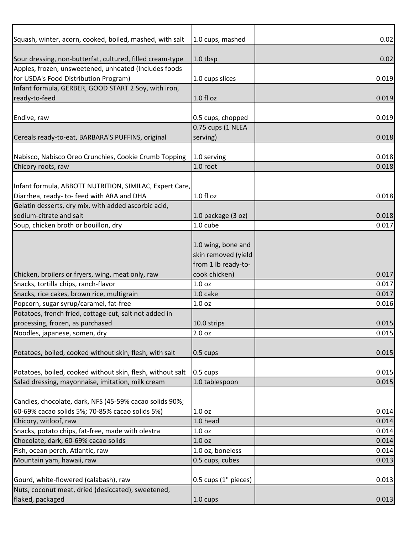| Squash, winter, acorn, cooked, boiled, mashed, with salt   | 1.0 cups, mashed     | 0.02  |
|------------------------------------------------------------|----------------------|-------|
|                                                            |                      |       |
| Sour dressing, non-butterfat, cultured, filled cream-type  | 1.0 tbsp             | 0.02  |
| Apples, frozen, unsweetened, unheated (Includes foods      |                      |       |
| for USDA's Food Distribution Program)                      | 1.0 cups slices      | 0.019 |
| Infant formula, GERBER, GOOD START 2 Soy, with iron,       |                      |       |
| ready-to-feed                                              | $1.0 f$ l oz         | 0.019 |
|                                                            |                      |       |
| Endive, raw                                                | 0.5 cups, chopped    | 0.019 |
|                                                            | 0.75 cups (1 NLEA    |       |
| Cereals ready-to-eat, BARBARA'S PUFFINS, original          | serving)             | 0.018 |
|                                                            |                      |       |
| Nabisco, Nabisco Oreo Crunchies, Cookie Crumb Topping      | 1.0 serving          | 0.018 |
| Chicory roots, raw                                         | 1.0 root             | 0.018 |
|                                                            |                      |       |
| Infant formula, ABBOTT NUTRITION, SIMILAC, Expert Care,    |                      |       |
| Diarrhea, ready- to-feed with ARA and DHA                  | $1.0 f$ l oz         | 0.018 |
| Gelatin desserts, dry mix, with added ascorbic acid,       |                      |       |
| sodium-citrate and salt                                    | 1.0 package (3 oz)   | 0.018 |
| Soup, chicken broth or bouillon, dry                       | 1.0 cube             | 0.017 |
|                                                            |                      |       |
|                                                            | 1.0 wing, bone and   |       |
|                                                            | skin removed (yield  |       |
|                                                            | from 1 lb ready-to-  |       |
|                                                            |                      | 0.017 |
| Chicken, broilers or fryers, wing, meat only, raw          | cook chicken)        |       |
| Snacks, tortilla chips, ranch-flavor                       | 1.0 <sub>oz</sub>    | 0.017 |
| Snacks, rice cakes, brown rice, multigrain                 | 1.0 cake             | 0.017 |
| Popcorn, sugar syrup/caramel, fat-free                     | 1.0 <sub>oz</sub>    | 0.016 |
| Potatoes, french fried, cottage-cut, salt not added in     |                      |       |
| processing, frozen, as purchased                           | 10.0 strips          | 0.015 |
| Noodles, japanese, somen, dry                              | 2.0 <sub>oz</sub>    | 0.015 |
|                                                            |                      |       |
| Potatoes, boiled, cooked without skin, flesh, with salt    | $0.5 \text{ cups}$   | 0.015 |
|                                                            |                      |       |
| Potatoes, boiled, cooked without skin, flesh, without salt | $0.5 \text{ cups}$   | 0.015 |
| Salad dressing, mayonnaise, imitation, milk cream          | 1.0 tablespoon       | 0.015 |
|                                                            |                      |       |
| Candies, chocolate, dark, NFS (45-59% cacao solids 90%;    |                      |       |
| 60-69% cacao solids 5%; 70-85% cacao solids 5%)            | 1.0 <sub>oz</sub>    | 0.014 |
| Chicory, witloof, raw                                      | 1.0 head             | 0.014 |
| Snacks, potato chips, fat-free, made with olestra          | 1.0 <sub>oz</sub>    | 0.014 |
| Chocolate, dark, 60-69% cacao solids                       | 1.0 <sub>oz</sub>    | 0.014 |
| Fish, ocean perch, Atlantic, raw                           | 1.0 oz, boneless     | 0.014 |
| Mountain yam, hawaii, raw                                  | 0.5 cups, cubes      | 0.013 |
|                                                            |                      |       |
| Gourd, white-flowered (calabash), raw                      | 0.5 cups (1" pieces) | 0.013 |
| Nuts, coconut meat, dried (desiccated), sweetened,         |                      |       |
| flaked, packaged                                           | 1.0 cups             | 0.013 |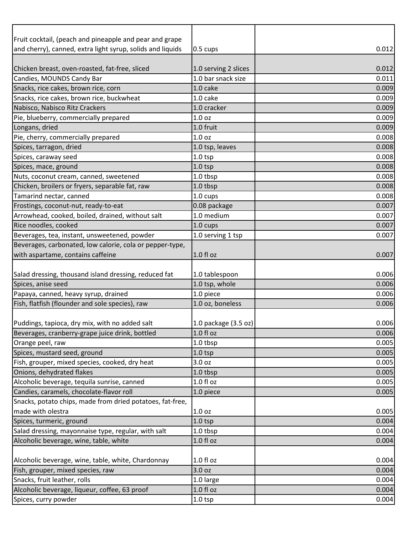| Fruit cocktail, (peach and pineapple and pear and grape                                                                                              |                        |                |
|------------------------------------------------------------------------------------------------------------------------------------------------------|------------------------|----------------|
| and cherry), canned, extra light syrup, solids and liquids                                                                                           | 0.5 cups               | 0.012          |
|                                                                                                                                                      |                        |                |
| Chicken breast, oven-roasted, fat-free, sliced                                                                                                       | 1.0 serving 2 slices   | 0.012          |
| Candies, MOUNDS Candy Bar                                                                                                                            | 1.0 bar snack size     | 0.011          |
| Snacks, rice cakes, brown rice, corn                                                                                                                 | 1.0 cake               | 0.009          |
| Snacks, rice cakes, brown rice, buckwheat                                                                                                            | 1.0 cake               | 0.009          |
| Nabisco, Nabisco Ritz Crackers                                                                                                                       | 1.0 cracker            | 0.009          |
| Pie, blueberry, commercially prepared                                                                                                                | 1.0 <sub>oz</sub>      | 0.009          |
| Longans, dried                                                                                                                                       | 1.0 fruit              | 0.009          |
| Pie, cherry, commercially prepared                                                                                                                   | 1.0 <sub>oz</sub>      | 0.008          |
| Spices, tarragon, dried                                                                                                                              | 1.0 tsp, leaves        | 0.008          |
| Spices, caraway seed                                                                                                                                 | 1.0 <sub>tp</sub>      | 0.008          |
| Spices, mace, ground                                                                                                                                 | $1.0$ tsp              | 0.008          |
| Nuts, coconut cream, canned, sweetened                                                                                                               | 1.0 tbsp               | 0.008          |
| Chicken, broilers or fryers, separable fat, raw                                                                                                      | 1.0 tbsp               | 0.008          |
| Tamarind nectar, canned                                                                                                                              | 1.0 cups               | 0.008          |
| Frostings, coconut-nut, ready-to-eat                                                                                                                 | 0.08 package           | 0.007          |
| Arrowhead, cooked, boiled, drained, without salt                                                                                                     | 1.0 medium             | 0.007          |
| Rice noodles, cooked                                                                                                                                 | 1.0 cups               | 0.007          |
| Beverages, tea, instant, unsweetened, powder                                                                                                         | 1.0 serving 1 tsp      | 0.007          |
| Beverages, carbonated, low calorie, cola or pepper-type,                                                                                             |                        |                |
| with aspartame, contains caffeine                                                                                                                    | 1.0 fl oz              | 0.007          |
|                                                                                                                                                      |                        |                |
|                                                                                                                                                      |                        |                |
| Salad dressing, thousand island dressing, reduced fat                                                                                                | 1.0 tablespoon         | 0.006          |
| Spices, anise seed                                                                                                                                   | 1.0 tsp, whole         | 0.006          |
| Papaya, canned, heavy syrup, drained                                                                                                                 | 1.0 piece              | 0.006          |
|                                                                                                                                                      | 1.0 oz, boneless       | 0.006          |
|                                                                                                                                                      | 1.0 package $(3.5 oz)$ |                |
| Fish, flatfish (flounder and sole species), raw<br>Puddings, tapioca, dry mix, with no added salt<br>Beverages, cranberry-grape juice drink, bottled | $1.0 f$ l oz           | 0.006          |
| Orange peel, raw                                                                                                                                     | 1.0 tbsp               | 0.005          |
| Spices, mustard seed, ground                                                                                                                         | $1.0$ tsp              | 0.005          |
| Fish, grouper, mixed species, cooked, dry heat                                                                                                       | 3.0 oz                 | 0.005          |
| Onions, dehydrated flakes                                                                                                                            | 1.0 tbsp               | 0.006<br>0.005 |
| Alcoholic beverage, tequila sunrise, canned                                                                                                          | $1.0 f$ l oz           | 0.005          |
| Candies, caramels, chocolate-flavor roll                                                                                                             | 1.0 piece              | 0.005          |
| Snacks, potato chips, made from dried potatoes, fat-free,                                                                                            |                        |                |
| made with olestra                                                                                                                                    | 1.0 <sub>oz</sub>      | 0.005          |
| Spices, turmeric, ground                                                                                                                             | $1.0$ tsp              | 0.004          |
| Salad dressing, mayonnaise type, regular, with salt                                                                                                  | 1.0 tbsp               | 0.004          |
| Alcoholic beverage, wine, table, white                                                                                                               | $1.0 f$ l oz           | 0.004          |
|                                                                                                                                                      |                        |                |
| Alcoholic beverage, wine, table, white, Chardonnay                                                                                                   | $1.0 f$ l oz           | 0.004          |
| Fish, grouper, mixed species, raw                                                                                                                    | 3.0 <sub>oz</sub>      | 0.004          |
| Snacks, fruit leather, rolls                                                                                                                         | 1.0 large              | 0.004          |
| Alcoholic beverage, liqueur, coffee, 63 proof                                                                                                        | $1.0 f$ l oz           | 0.004          |